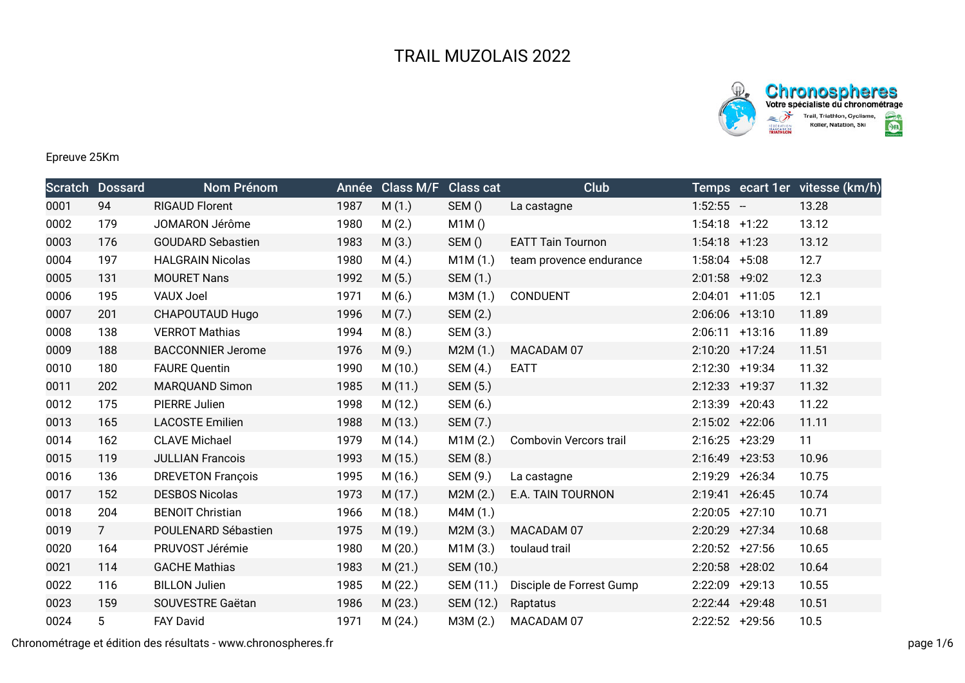



## Epreuve 25Km

|      | <b>Scratch Dossard</b> | Nom Prénom               |      | Année Class M/F Class cat |           | Club                     |                   |         | Temps ecart 1er vitesse (km/h) |
|------|------------------------|--------------------------|------|---------------------------|-----------|--------------------------|-------------------|---------|--------------------------------|
| 0001 | 94                     | <b>RIGAUD Florent</b>    | 1987 | M(1.)                     | SEM()     | La castagne              | $1:52:55 -$       |         | 13.28                          |
| 0002 | 179                    | JOMARON Jérôme           | 1980 | M(2.)                     | M1M()     |                          | $1:54:18$ +1:22   |         | 13.12                          |
| 0003 | 176                    | <b>GOUDARD Sebastien</b> | 1983 | M(3.)                     | SEM()     | <b>EATT Tain Tournon</b> | $1:54:18$ +1:23   |         | 13.12                          |
| 0004 | 197                    | <b>HALGRAIN Nicolas</b>  | 1980 | M(4.)                     | M1M(1.)   | team provence endurance  | 1:58:04           | $+5:08$ | 12.7                           |
| 0005 | 131                    | <b>MOURET Nans</b>       | 1992 | M(5.)                     | SEM (1.)  |                          | 2:01:58           | $+9:02$ | 12.3                           |
| 0006 | 195                    | <b>VAUX Joel</b>         | 1971 | M(6.)                     | M3M (1.)  | CONDUENT                 | $2:04:01$ +11:05  |         | 12.1                           |
| 0007 | 201                    | CHAPOUTAUD Hugo          | 1996 | M(7.)                     | SEM (2.)  |                          | $2:06:06$ +13:10  |         | 11.89                          |
| 0008 | 138                    | <b>VERROT Mathias</b>    | 1994 | M(8.)                     | SEM (3.)  |                          | $2:06:11 +13:16$  |         | 11.89                          |
| 0009 | 188                    | <b>BACCONNIER Jerome</b> | 1976 | M(9.)                     | M2M (1.)  | MACADAM 07               | 2:10:20 +17:24    |         | 11.51                          |
| 0010 | 180                    | <b>FAURE Quentin</b>     | 1990 | M(10.)                    | SEM (4.)  | <b>EATT</b>              | 2:12:30 +19:34    |         | 11.32                          |
| 0011 | 202                    | <b>MARQUAND Simon</b>    | 1985 | M(11.)                    | SEM (5.)  |                          | 2:12:33 +19:37    |         | 11.32                          |
| 0012 | 175                    | PIERRE Julien            | 1998 | M (12.)                   | SEM (6.)  |                          | $2:13:39$ +20:43  |         | 11.22                          |
| 0013 | 165                    | <b>LACOSTE Emilien</b>   | 1988 | M (13.)                   | SEM (7.)  |                          | $2:15:02$ +22:06  |         | 11.11                          |
| 0014 | 162                    | <b>CLAVE Michael</b>     | 1979 | M(14.)                    | M1M(2.)   | Combovin Vercors trail   | 2:16:25 +23:29    |         | 11                             |
| 0015 | 119                    | <b>JULLIAN Francois</b>  | 1993 | M(15.)                    | SEM (8.)  |                          | 2:16:49 +23:53    |         | 10.96                          |
| 0016 | 136                    | <b>DREVETON François</b> | 1995 | M (16.)                   | SEM (9.)  | La castagne              | 2:19:29 +26:34    |         | 10.75                          |
| 0017 | 152                    | <b>DESBOS Nicolas</b>    | 1973 | M(17.)                    | M2M(2.)   | E.A. TAIN TOURNON        | $2:19:41 + 26:45$ |         | 10.74                          |
| 0018 | 204                    | <b>BENOIT Christian</b>  | 1966 | M (18.)                   | M4M (1.)  |                          | $2:20:05$ +27:10  |         | 10.71                          |
| 0019 | $7\overline{ }$        | POULENARD Sébastien      | 1975 | M (19.)                   | M2M(3.)   | MACADAM 07               | 2:20:29 +27:34    |         | 10.68                          |
| 0020 | 164                    | PRUVOST Jérémie          | 1980 | M(20.)                    | M1M(3.)   | toulaud trail            | $2:20:52$ +27:56  |         | 10.65                          |
| 0021 | 114                    | <b>GACHE Mathias</b>     | 1983 | M(21.)                    | SEM (10.) |                          | $2:20:58$ +28:02  |         | 10.64                          |
| 0022 | 116                    | <b>BILLON Julien</b>     | 1985 | M(22.)                    | SEM (11.) | Disciple de Forrest Gump | 2:22:09 +29:13    |         | 10.55                          |
| 0023 | 159                    | SOUVESTRE Gaëtan         | 1986 | M(23.)                    | SEM (12.) | Raptatus                 | 2:22:44 +29:48    |         | 10.51                          |
| 0024 | 5                      | <b>FAY David</b>         | 1971 | M(24.)                    | M3M (2.)  | MACADAM 07               | $2:22:52$ +29:56  |         | 10.5                           |

Chronométrage et édition des résultats - www.chronospheres.fr page 1/6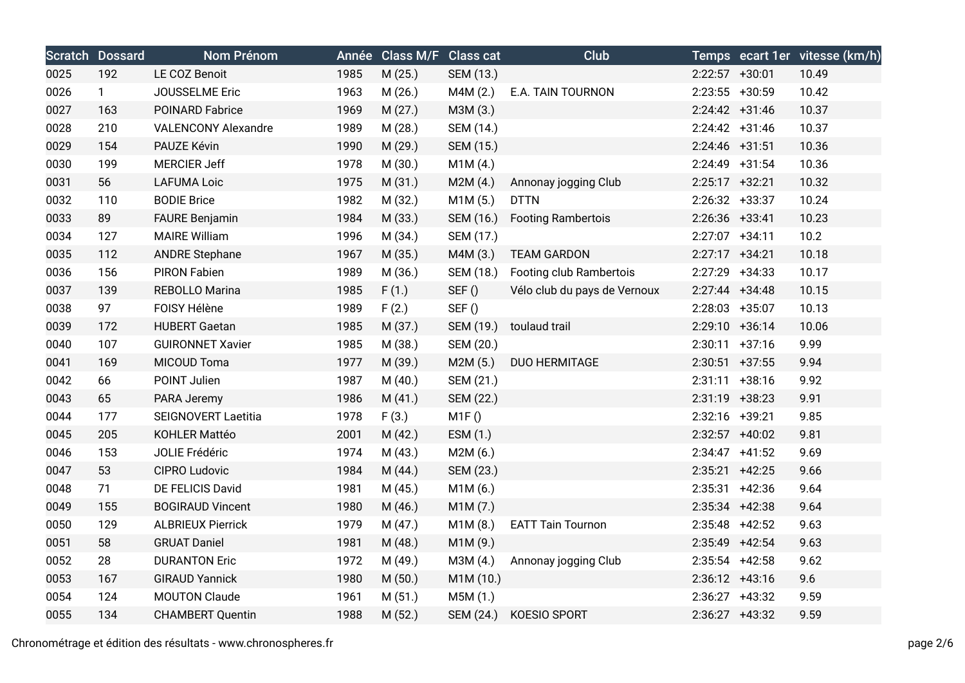|      | <b>Scratch Dossard</b> | <b>Nom Prénom</b>          |      | Année Class M/F Class cat |           | Club                         |                   | Temps ecart 1er vitesse (km/h) |
|------|------------------------|----------------------------|------|---------------------------|-----------|------------------------------|-------------------|--------------------------------|
| 0025 | 192                    | LE COZ Benoit              | 1985 | M(25.)                    | SEM (13.) |                              | $2:22:57$ +30:01  | 10.49                          |
| 0026 | $\mathbf{1}$           | JOUSSELME Eric             | 1963 | M (26.)                   | M4M (2.)  | E.A. TAIN TOURNON            | 2:23:55 +30:59    | 10.42                          |
| 0027 | 163                    | <b>POINARD Fabrice</b>     | 1969 | M(27.)                    | M3M (3.)  |                              | $2:24:42 +31:46$  | 10.37                          |
| 0028 | 210                    | <b>VALENCONY Alexandre</b> | 1989 | M (28.)                   | SEM (14.) |                              | $2:24:42$ +31:46  | 10.37                          |
| 0029 | 154                    | PAUZE Kévin                | 1990 | M (29.)                   | SEM (15.) |                              | $2:24:46$ +31:51  | 10.36                          |
| 0030 | 199                    | <b>MERCIER Jeff</b>        | 1978 | M (30.)                   | M1M(4.)   |                              | $2:24:49$ +31:54  | 10.36                          |
| 0031 | 56                     | <b>LAFUMA Loic</b>         | 1975 | M(31.)                    | M2M(4.)   | Annonay jogging Club         | $2:25:17$ +32:21  | 10.32                          |
| 0032 | 110                    | <b>BODIE Brice</b>         | 1982 | M (32.)                   | M1M(5.)   | <b>DTTN</b>                  | 2:26:32 +33:37    | 10.24                          |
| 0033 | 89                     | <b>FAURE Benjamin</b>      | 1984 | M (33.)                   | SEM (16.) | <b>Footing Rambertois</b>    | $2:26:36$ +33:41  | 10.23                          |
| 0034 | 127                    | <b>MAIRE William</b>       | 1996 | M (34.)                   | SEM (17.) |                              | $2:27:07$ +34:11  | 10.2                           |
| 0035 | 112                    | <b>ANDRE Stephane</b>      | 1967 | M (35.)                   | M4M (3.)  | <b>TEAM GARDON</b>           | $2:27:17$ +34:21  | 10.18                          |
| 0036 | 156                    | <b>PIRON Fabien</b>        | 1989 | M (36.)                   | SEM (18.) | Footing club Rambertois      | 2:27:29 +34:33    | 10.17                          |
| 0037 | 139                    | REBOLLO Marina             | 1985 | F(1.)                     | SEF()     | Vélo club du pays de Vernoux | $2:27:44$ +34:48  | 10.15                          |
| 0038 | 97                     | FOISY Hélène               | 1989 | F(2.)                     | SEF()     |                              | 2:28:03 +35:07    | 10.13                          |
| 0039 | 172                    | <b>HUBERT Gaetan</b>       | 1985 | M (37.)                   | SEM (19.) | toulaud trail                | 2:29:10 +36:14    | 10.06                          |
| 0040 | 107                    | <b>GUIRONNET Xavier</b>    | 1985 | M (38.)                   | SEM (20.) |                              | $2:30:11 + 37:16$ | 9.99                           |
| 0041 | 169                    | MICOUD Toma                | 1977 | M (39.)                   | M2M(5.)   | <b>DUO HERMITAGE</b>         | $2:30:51$ +37:55  | 9.94                           |
| 0042 | 66                     | POINT Julien               | 1987 | M(40.)                    | SEM (21.) |                              | $2:31:11 + 38:16$ | 9.92                           |
| 0043 | 65                     | PARA Jeremy                | 1986 | M(41.)                    | SEM (22.) |                              | 2:31:19 +38:23    | 9.91                           |
| 0044 | 177                    | <b>SEIGNOVERT Laetitia</b> | 1978 | F(3.)                     | M1F()     |                              | 2:32:16 +39:21    | 9.85                           |
| 0045 | 205                    | KOHLER Mattéo              | 2001 | M(42.)                    | ESM (1.)  |                              | 2:32:57 +40:02    | 9.81                           |
| 0046 | 153                    | JOLIE Frédéric             | 1974 | M(43.)                    | M2M(6.)   |                              | $2:34:47$ +41:52  | 9.69                           |
| 0047 | 53                     | CIPRO Ludovic              | 1984 | M (44.)                   | SEM (23.) |                              | $2:35:21$ +42:25  | 9.66                           |
| 0048 | 71                     | DE FELICIS David           | 1981 | M(45.)                    | M1M(6.)   |                              | $2:35:31 +42:36$  | 9.64                           |
| 0049 | 155                    | <b>BOGIRAUD Vincent</b>    | 1980 | M (46.)                   | M1M (7.)  |                              | $2:35:34$ +42:38  | 9.64                           |
| 0050 | 129                    | <b>ALBRIEUX Pierrick</b>   | 1979 | M(47.)                    | M1M(8.)   | <b>EATT Tain Tournon</b>     | $2:35:48$ +42:52  | 9.63                           |
| 0051 | 58                     | <b>GRUAT Daniel</b>        | 1981 | M (48.)                   | M1M (9.)  |                              | 2:35:49 +42:54    | 9.63                           |
| 0052 | 28                     | <b>DURANTON Eric</b>       | 1972 | M (49.)                   | M3M (4.)  | Annonay jogging Club         | $2:35:54$ +42:58  | 9.62                           |
| 0053 | 167                    | <b>GIRAUD Yannick</b>      | 1980 | M(50.)                    | M1M (10.) |                              | $2:36:12$ +43:16  | 9.6                            |
| 0054 | 124                    | <b>MOUTON Claude</b>       | 1961 | M(51.)                    | M5M(1.)   |                              | 2:36:27 +43:32    | 9.59                           |
| 0055 | 134                    | <b>CHAMBERT Quentin</b>    | 1988 | M(52.)                    | SEM (24.) | <b>KOESIO SPORT</b>          | $2:36:27$ +43:32  | 9.59                           |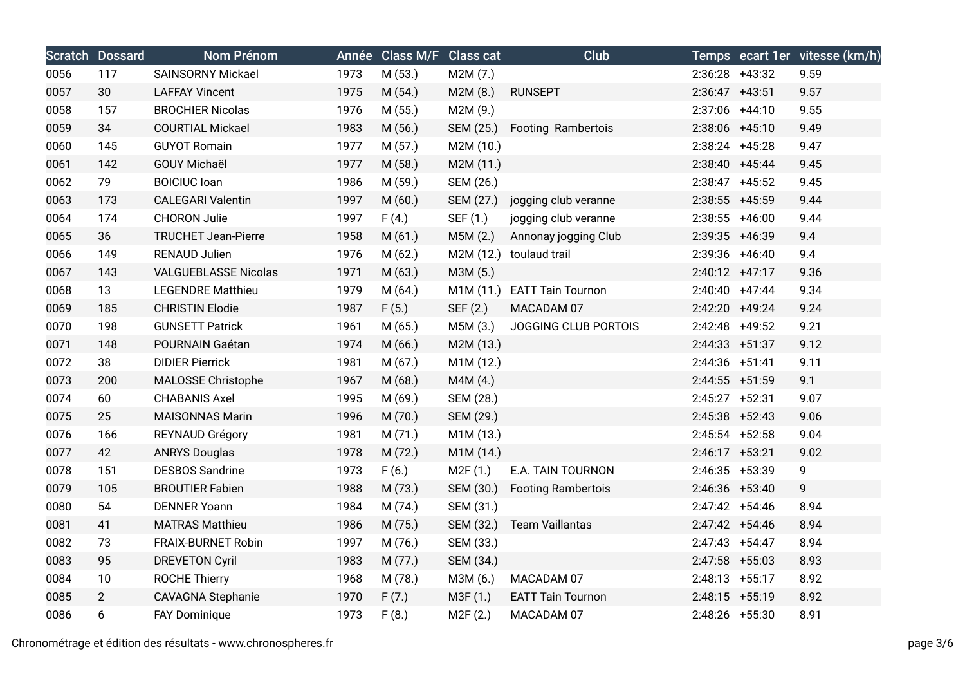|      | <b>Scratch Dossard</b> | <b>Nom Prénom</b>           |      | Année Class M/F Class cat |           | <b>Club</b>               |                   | Temps ecart 1er vitesse (km/h) |
|------|------------------------|-----------------------------|------|---------------------------|-----------|---------------------------|-------------------|--------------------------------|
| 0056 | 117                    | <b>SAINSORNY Mickael</b>    | 1973 | M (53.)                   | M2M (7.)  |                           | $2:36:28$ +43:32  | 9.59                           |
| 0057 | 30                     | <b>LAFFAY Vincent</b>       | 1975 | M(54.)                    | M2M(8.)   | <b>RUNSEPT</b>            | $2:36:47$ +43:51  | 9.57                           |
| 0058 | 157                    | <b>BROCHIER Nicolas</b>     | 1976 | M(55.)                    | M2M (9.)  |                           | 2:37:06 +44:10    | 9.55                           |
| 0059 | 34                     | <b>COURTIAL Mickael</b>     | 1983 | M(56.)                    | SEM (25.) | Footing Rambertois        | 2:38:06 +45:10    | 9.49                           |
| 0060 | 145                    | <b>GUYOT Romain</b>         | 1977 | M(57.)                    | M2M (10.) |                           | $2:38:24$ +45:28  | 9.47                           |
| 0061 | 142                    | <b>GOUY Michaël</b>         | 1977 | M (58.)                   | M2M (11.) |                           | $2:38:40 +45:44$  | 9.45                           |
| 0062 | 79                     | <b>BOICIUC</b> loan         | 1986 | M (59.)                   | SEM (26.) |                           | $2:38:47$ +45:52  | 9.45                           |
| 0063 | 173                    | <b>CALEGARI Valentin</b>    | 1997 | M(60.)                    | SEM (27.) | jogging club veranne      | 2:38:55 +45:59    | 9.44                           |
| 0064 | 174                    | <b>CHORON Julie</b>         | 1997 | F(4.)                     | SEF (1.)  | jogging club veranne      | $2:38:55$ +46:00  | 9.44                           |
| 0065 | 36                     | <b>TRUCHET Jean-Pierre</b>  | 1958 | M(61.)                    | M5M (2.)  | Annonay jogging Club      | 2:39:35 +46:39    | 9.4                            |
| 0066 | 149                    | <b>RENAUD Julien</b>        | 1976 | M(62.)                    |           | M2M (12.) toulaud trail   | 2:39:36 +46:40    | 9.4                            |
| 0067 | 143                    | <b>VALGUEBLASSE Nicolas</b> | 1971 | M(63.)                    | M3M (5.)  |                           | $2:40:12 +47:17$  | 9.36                           |
| 0068 | 13                     | <b>LEGENDRE Matthieu</b>    | 1979 | M(64.)                    | M1M (11.) | <b>EATT Tain Tournon</b>  | $2:40:40 + 47:44$ | 9.34                           |
| 0069 | 185                    | <b>CHRISTIN Elodie</b>      | 1987 | F(5.)                     | SEF (2.)  | MACADAM 07                | 2:42:20 +49:24    | 9.24                           |
| 0070 | 198                    | <b>GUNSETT Patrick</b>      | 1961 | M(65.)                    | M5M (3.)  | JOGGING CLUB PORTOIS      | 2:42:48 +49:52    | 9.21                           |
| 0071 | 148                    | POURNAIN Gaétan             | 1974 | M(66.)                    | M2M (13.) |                           | $2:44:33 + 51:37$ | 9.12                           |
| 0072 | 38                     | <b>DIDIER Pierrick</b>      | 1981 | M(67.)                    | M1M (12.) |                           | $2:44:36$ +51:41  | 9.11                           |
| 0073 | 200                    | MALOSSE Christophe          | 1967 | M(68.)                    | M4M (4.)  |                           | $2:44:55$ +51:59  | 9.1                            |
| 0074 | 60                     | <b>CHABANIS Axel</b>        | 1995 | M (69.)                   | SEM (28.) |                           | $2:45:27$ +52:31  | 9.07                           |
| 0075 | 25                     | <b>MAISONNAS Marin</b>      | 1996 | M (70.)                   | SEM (29.) |                           | $2:45:38$ +52:43  | 9.06                           |
| 0076 | 166                    | REYNAUD Grégory             | 1981 | M(71.)                    | M1M (13.) |                           | $2:45:54$ +52:58  | 9.04                           |
| 0077 | 42                     | <b>ANRYS Douglas</b>        | 1978 | M (72.)                   | M1M (14.) |                           | $2:46:17$ +53:21  | 9.02                           |
| 0078 | 151                    | <b>DESBOS Sandrine</b>      | 1973 | F(6.)                     | M2F(1.)   | E.A. TAIN TOURNON         | 2:46:35 +53:39    | 9                              |
| 0079 | 105                    | <b>BROUTIER Fabien</b>      | 1988 | M (73.)                   | SEM (30.) | <b>Footing Rambertois</b> | $2:46:36$ +53:40  | 9                              |
| 0080 | 54                     | <b>DENNER Yoann</b>         | 1984 | M (74.)                   | SEM (31.) |                           | $2:47:42 +54:46$  | 8.94                           |
| 0081 | 41                     | <b>MATRAS Matthieu</b>      | 1986 | M (75.)                   | SEM (32.) | <b>Team Vaillantas</b>    | 2:47:42 +54:46    | 8.94                           |
| 0082 | 73                     | <b>FRAIX-BURNET Robin</b>   | 1997 | M (76.)                   | SEM (33.) |                           | $2:47:43 +54:47$  | 8.94                           |
| 0083 | 95                     | <b>DREVETON Cyril</b>       | 1983 | M (77.)                   | SEM (34.) |                           | $2:47:58$ +55:03  | 8.93                           |
| 0084 | 10                     | <b>ROCHE Thierry</b>        | 1968 | M (78.)                   | M3M (6.)  | MACADAM 07                | $2:48:13 +55:17$  | 8.92                           |
| 0085 | $\overline{2}$         | <b>CAVAGNA Stephanie</b>    | 1970 | F(7.)                     | M3F (1.)  | <b>EATT Tain Tournon</b>  | 2:48:15 +55:19    | 8.92                           |
| 0086 | 6                      | FAY Dominique               | 1973 | F(8.)                     | M2F(2.)   | MACADAM 07                | 2:48:26 +55:30    | 8.91                           |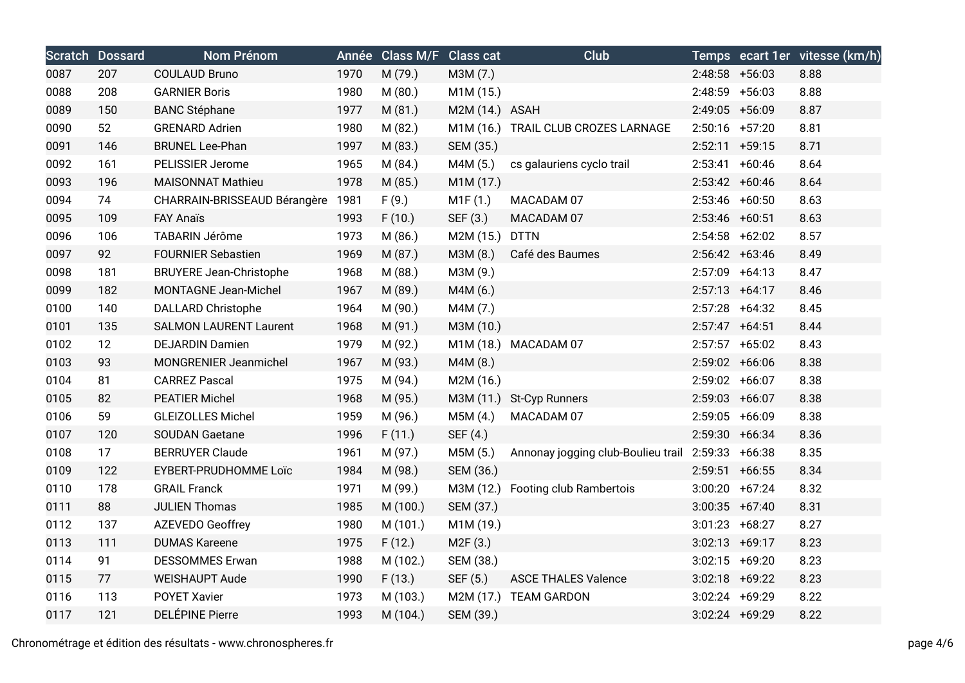|      | <b>Scratch Dossard</b> | <b>Nom Prénom</b>              |      | Année Class M/F Class cat |                | Club                                |                   | Temps ecart 1er vitesse (km/h) |
|------|------------------------|--------------------------------|------|---------------------------|----------------|-------------------------------------|-------------------|--------------------------------|
| 0087 | 207                    | <b>COULAUD Bruno</b>           | 1970 | M (79.)                   | M3M (7.)       |                                     | $2:48:58$ +56:03  | 8.88                           |
| 0088 | 208                    | <b>GARNIER Boris</b>           | 1980 | M(80.)                    | M1M (15.)      |                                     | $2:48:59$ +56:03  | 8.88                           |
| 0089 | 150                    | <b>BANC Stéphane</b>           | 1977 | M(81.)                    | M2M (14.) ASAH |                                     | 2:49:05 +56:09    | 8.87                           |
| 0090 | 52                     | <b>GRENARD Adrien</b>          | 1980 | M (82.)                   |                | M1M (16.) TRAIL CLUB CROZES LARNAGE | $2:50:16$ +57:20  | 8.81                           |
| 0091 | 146                    | <b>BRUNEL Lee-Phan</b>         | 1997 | M (83.)                   | SEM (35.)      |                                     | $2:52:11 + 59:15$ | 8.71                           |
| 0092 | 161                    | PELISSIER Jerome               | 1965 | M (84.)                   | M4M (5.)       | cs galauriens cyclo trail           | $2:53:41 +60:46$  | 8.64                           |
| 0093 | 196                    | <b>MAISONNAT Mathieu</b>       | 1978 | M (85.)                   | M1M (17.)      |                                     | $2:53:42 +60:46$  | 8.64                           |
| 0094 | 74                     | CHARRAIN-BRISSEAUD Bérangère   | 1981 | F(9.)                     | M1F(1.)        | MACADAM 07                          | 2:53:46 +60:50    | 8.63                           |
| 0095 | 109                    | <b>FAY Anaïs</b>               | 1993 | F(10.)                    | SEF (3.)       | MACADAM 07                          | 2:53:46 +60:51    | 8.63                           |
| 0096 | 106                    | TABARIN Jérôme                 | 1973 | M (86.)                   | M2M (15.)      | <b>DTTN</b>                         | $2:54:58$ +62:02  | 8.57                           |
| 0097 | 92                     | <b>FOURNIER Sebastien</b>      | 1969 | M (87.)                   | M3M (8.)       | Café des Baumes                     | $2:56:42 +63:46$  | 8.49                           |
| 0098 | 181                    | <b>BRUYERE Jean-Christophe</b> | 1968 | M (88.)                   | M3M (9.)       |                                     | $2:57:09$ +64:13  | 8.47                           |
| 0099 | 182                    | MONTAGNE Jean-Michel           | 1967 | M (89.)                   | M4M (6.)       |                                     | $2:57:13 +64:17$  | 8.46                           |
| 0100 | 140                    | <b>DALLARD Christophe</b>      | 1964 | M (90.)                   | M4M (7.)       |                                     | $2:57:28$ +64:32  | 8.45                           |
| 0101 | 135                    | <b>SALMON LAURENT Laurent</b>  | 1968 | M (91.)                   | M3M (10.)      |                                     | $2:57:47$ +64:51  | 8.44                           |
| 0102 | 12                     | <b>DEJARDIN Damien</b>         | 1979 | M (92.)                   |                | M1M (18.) MACADAM 07                | $2:57:57$ +65:02  | 8.43                           |
| 0103 | 93                     | MONGRENIER Jeanmichel          | 1967 | M (93.)                   | M4M (8.)       |                                     | $2:59:02 +66:06$  | 8.38                           |
| 0104 | 81                     | <b>CARREZ Pascal</b>           | 1975 | M (94.)                   | M2M (16.)      |                                     | 2:59:02 +66:07    | 8.38                           |
| 0105 | 82                     | <b>PEATIER Michel</b>          | 1968 | M (95.)                   |                | M3M (11.) St-Cyp Runners            | $2:59:03 +66:07$  | 8.38                           |
| 0106 | 59                     | <b>GLEIZOLLES Michel</b>       | 1959 | M (96.)                   | M5M (4.)       | MACADAM 07                          | $2:59:05$ +66:09  | 8.38                           |
| 0107 | 120                    | <b>SOUDAN Gaetane</b>          | 1996 | F(11.)                    | SEF (4.)       |                                     | 2:59:30 +66:34    | 8.36                           |
| 0108 | 17                     | <b>BERRUYER Claude</b>         | 1961 | M (97.)                   | M5M (5.)       | Annonay jogging club-Boulieu trail  | 2:59:33 +66:38    | 8.35                           |
| 0109 | 122                    | EYBERT-PRUDHOMME Loïc          | 1984 | M (98.)                   | SEM (36.)      |                                     | $2:59:51$ +66:55  | 8.34                           |
| 0110 | 178                    | <b>GRAIL Franck</b>            | 1971 | M (99.)                   | M3M (12.)      | Footing club Rambertois             | $3:00:20 +67:24$  | 8.32                           |
| 0111 | 88                     | <b>JULIEN Thomas</b>           | 1985 | M (100.)                  | SEM (37.)      |                                     | $3:00:35 +67:40$  | 8.31                           |
| 0112 | 137                    | AZEVEDO Geoffrey               | 1980 | M (101.)                  | M1M (19.)      |                                     | $3:01:23 +68:27$  | 8.27                           |
| 0113 | 111                    | <b>DUMAS Kareene</b>           | 1975 | F(12.)                    | M2F(3.)        |                                     | $3:02:13 +69:17$  | 8.23                           |
| 0114 | 91                     | <b>DESSOMMES Erwan</b>         | 1988 | M (102.)                  | SEM (38.)      |                                     | $3:02:15$ +69:20  | 8.23                           |
| 0115 | 77                     | <b>WEISHAUPT Aude</b>          | 1990 | F(13.)                    | SEF (5.)       | <b>ASCE THALES Valence</b>          | $3:02:18$ +69:22  | 8.23                           |
| 0116 | 113                    | <b>POYET Xavier</b>            | 1973 | M (103.)                  | M2M (17.)      | <b>TEAM GARDON</b>                  | $3:02:24$ +69:29  | 8.22                           |
| 0117 | 121                    | <b>DELÉPINE Pierre</b>         | 1993 | M (104.)                  | SEM (39.)      |                                     | 3:02:24 +69:29    | 8.22                           |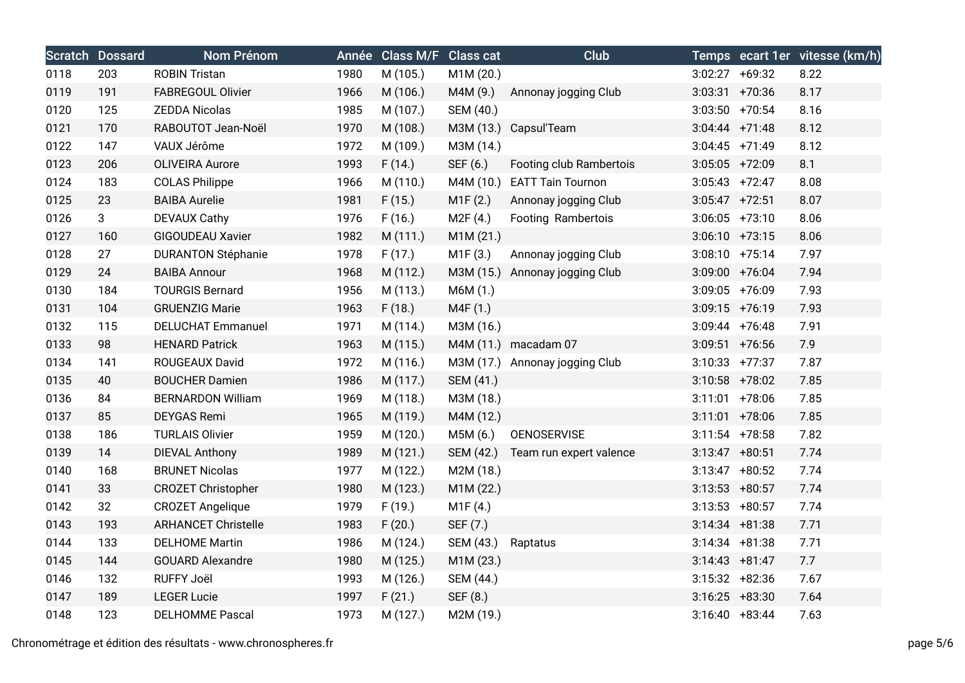|      | <b>Scratch Dossard</b> | Nom Prénom                 |      | Année Class M/F Class cat |                       | Club                           |                   | Temps ecart 1er vitesse (km/h) |
|------|------------------------|----------------------------|------|---------------------------|-----------------------|--------------------------------|-------------------|--------------------------------|
| 0118 | 203                    | <b>ROBIN Tristan</b>       | 1980 | M (105.)                  | M1M (20.)             |                                | $3:02:27 +69:32$  | 8.22                           |
| 0119 | 191                    | <b>FABREGOUL Olivier</b>   | 1966 | M (106.)                  | M4M (9.)              | Annonay jogging Club           | $3:03:31$ +70:36  | 8.17                           |
| 0120 | 125                    | <b>ZEDDA Nicolas</b>       | 1985 | M (107.)                  | SEM (40.)             |                                | $3:03:50$ +70:54  | 8.16                           |
| 0121 | 170                    | RABOUTOT Jean-Noël         | 1970 | M (108.)                  |                       | M3M (13.) Capsul'Team          | $3:04:44$ +71:48  | 8.12                           |
| 0122 | 147                    | VAUX Jérôme                | 1972 | M (109.)                  | M3M (14.)             |                                | $3:04:45$ +71:49  | 8.12                           |
| 0123 | 206                    | <b>OLIVEIRA Aurore</b>     | 1993 | F(14.)                    | SEF (6.)              | Footing club Rambertois        | $3:05:05$ +72:09  | 8.1                            |
| 0124 | 183                    | <b>COLAS Philippe</b>      | 1966 | M (110.)                  | M4M (10.)             | <b>EATT Tain Tournon</b>       | $3:05:43$ +72:47  | 8.08                           |
| 0125 | 23                     | <b>BAIBA Aurelie</b>       | 1981 | F(15.)                    | M1F(2.)               | Annonay jogging Club           | $3:05:47$ +72:51  | 8.07                           |
| 0126 | 3                      | <b>DEVAUX Cathy</b>        | 1976 | F(16.)                    | M <sub>2</sub> F (4.) | Footing Rambertois             | $3:06:05$ +73:10  | 8.06                           |
| 0127 | 160                    | <b>GIGOUDEAU Xavier</b>    | 1982 | M(111.)                   | M1M(21.)              |                                | $3:06:10 +73:15$  | 8.06                           |
| 0128 | 27                     | <b>DURANTON Stéphanie</b>  | 1978 | F(17.)                    | M1F(3.)               | Annonay jogging Club           | $3:08:10 + 75:14$ | 7.97                           |
| 0129 | 24                     | <b>BAIBA Annour</b>        | 1968 | M (112.)                  |                       | M3M (15.) Annonay jogging Club | 3:09:00 +76:04    | 7.94                           |
| 0130 | 184                    | <b>TOURGIS Bernard</b>     | 1956 | M (113.)                  | M6M (1.)              |                                | $3:09:05$ +76:09  | 7.93                           |
| 0131 | 104                    | <b>GRUENZIG Marie</b>      | 1963 | F(18.)                    | M4F (1.)              |                                | $3:09:15$ +76:19  | 7.93                           |
| 0132 | 115                    | <b>DELUCHAT Emmanuel</b>   | 1971 | M (114.)                  | M3M (16.)             |                                | $3:09:44$ +76:48  | 7.91                           |
| 0133 | 98                     | <b>HENARD Patrick</b>      | 1963 | M (115.)                  |                       | M4M (11.) macadam 07           | $3:09:51$ +76:56  | 7.9                            |
| 0134 | 141                    | ROUGEAUX David             | 1972 | M (116.)                  |                       | M3M (17.) Annonay jogging Club | $3:10:33$ +77:37  | 7.87                           |
| 0135 | 40                     | <b>BOUCHER Damien</b>      | 1986 | M (117.)                  | SEM (41.)             |                                | $3:10:58$ +78:02  | 7.85                           |
| 0136 | 84                     | <b>BERNARDON William</b>   | 1969 | M (118.)                  | M3M (18.)             |                                | $3:11:01$ +78:06  | 7.85                           |
| 0137 | 85                     | <b>DEYGAS Remi</b>         | 1965 | M (119.)                  | M4M (12.)             |                                | $3:11:01$ +78:06  | 7.85                           |
| 0138 | 186                    | <b>TURLAIS Olivier</b>     | 1959 | M (120.)                  | M5M (6.)              | <b>OENOSERVISE</b>             | $3:11:54$ +78:58  | 7.82                           |
| 0139 | 14                     | <b>DIEVAL Anthony</b>      | 1989 | M (121.)                  | SEM (42.)             | Team run expert valence        | $3:13:47$ +80:51  | 7.74                           |
| 0140 | 168                    | <b>BRUNET Nicolas</b>      | 1977 | M (122.)                  | M2M (18.)             |                                | $3:13:47$ +80:52  | 7.74                           |
| 0141 | 33                     | <b>CROZET Christopher</b>  | 1980 | M (123.)                  | M1M (22.)             |                                | $3:13:53$ +80:57  | 7.74                           |
| 0142 | 32                     | <b>CROZET Angelique</b>    | 1979 | F(19.)                    | M1F(4.)               |                                | $3:13:53$ +80:57  | 7.74                           |
| 0143 | 193                    | <b>ARHANCET Christelle</b> | 1983 | F(20.)                    | SEF (7.)              |                                | $3:14:34$ +81:38  | 7.71                           |
| 0144 | 133                    | <b>DELHOME Martin</b>      | 1986 | M (124.)                  | SEM (43.)             | Raptatus                       | $3:14:34$ +81:38  | 7.71                           |
| 0145 | 144                    | <b>GOUARD Alexandre</b>    | 1980 | M (125.)                  | M1M (23.)             |                                | $3:14:43 + 81:47$ | 7.7                            |
| 0146 | 132                    | <b>RUFFY Joël</b>          | 1993 | M (126.)                  | SEM (44.)             |                                | $3:15:32 +82:36$  | 7.67                           |
| 0147 | 189                    | <b>LEGER Lucie</b>         | 1997 | F(21.)                    | SEF (8.)              |                                | $3:16:25 + 83:30$ | 7.64                           |
| 0148 | 123                    | <b>DELHOMME Pascal</b>     | 1973 | M (127.)                  | M2M (19.)             |                                | $3:16:40 + 83:44$ | 7.63                           |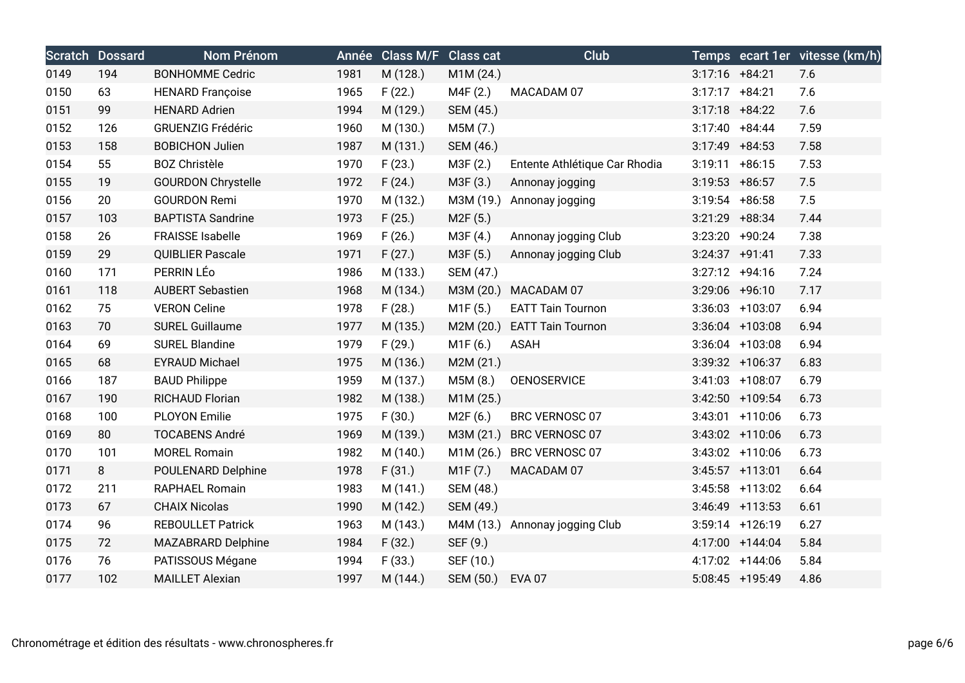|      | <b>Scratch Dossard</b> | Nom Prénom                |      | Année Class M/F Class cat |           | Club                          |                   |                   | Temps ecart 1er vitesse (km/h) |
|------|------------------------|---------------------------|------|---------------------------|-----------|-------------------------------|-------------------|-------------------|--------------------------------|
| 0149 | 194                    | <b>BONHOMME Cedric</b>    | 1981 | M (128.)                  | M1M (24.) |                               | $3:17:16$ +84:21  |                   | 7.6                            |
| 0150 | 63                     | <b>HENARD Françoise</b>   | 1965 | F(22.)                    | M4F (2.)  | MACADAM 07                    | $3:17:17$ +84:21  |                   | 7.6                            |
| 0151 | 99                     | <b>HENARD Adrien</b>      | 1994 | M (129.)                  | SEM (45.) |                               | $3:17:18$ +84:22  |                   | 7.6                            |
| 0152 | 126                    | <b>GRUENZIG Frédéric</b>  | 1960 | M (130.)                  | M5M (7.)  |                               | $3:17:40 + 84:44$ |                   | 7.59                           |
| 0153 | 158                    | <b>BOBICHON Julien</b>    | 1987 | M (131.)                  | SEM (46.) |                               | $3:17:49$ +84:53  |                   | 7.58                           |
| 0154 | 55                     | <b>BOZ Christèle</b>      | 1970 | F(23.)                    | M3F (2.)  | Entente Athlétique Car Rhodia | $3:19:11 + 86:15$ |                   | 7.53                           |
| 0155 | 19                     | <b>GOURDON Chrystelle</b> | 1972 | F(24.)                    | M3F (3.)  | Annonay jogging               | $3:19:53$ +86:57  |                   | 7.5                            |
| 0156 | 20                     | <b>GOURDON Remi</b>       | 1970 | M (132.)                  | M3M (19.) | Annonay jogging               | $3:19:54$ +86:58  |                   | 7.5                            |
| 0157 | 103                    | <b>BAPTISTA Sandrine</b>  | 1973 | F(25.)                    | M2F(5.)   |                               | $3:21:29$ +88:34  |                   | 7.44                           |
| 0158 | 26                     | <b>FRAISSE Isabelle</b>   | 1969 | F(26.)                    | M3F (4.)  | Annonay jogging Club          | 3:23:20 +90:24    |                   | 7.38                           |
| 0159 | 29                     | <b>QUIBLIER Pascale</b>   | 1971 | F(27.)                    | M3F (5.)  | Annonay jogging Club          | $3:24:37$ +91:41  |                   | 7.33                           |
| 0160 | 171                    | PERRIN LÉO                | 1986 | M (133.)                  | SEM (47.) |                               | $3:27:12 +94:16$  |                   | 7.24                           |
| 0161 | 118                    | <b>AUBERT Sebastien</b>   | 1968 | M (134.)                  | M3M (20.) | MACADAM 07                    | $3:29:06$ +96:10  |                   | 7.17                           |
| 0162 | 75                     | <b>VERON Celine</b>       | 1978 | F(28.)                    | M1F(5.)   | <b>EATT Tain Tournon</b>      |                   | $3:36:03$ +103:07 | 6.94                           |
| 0163 | 70                     | <b>SUREL Guillaume</b>    | 1977 | M (135.)                  | M2M (20.) | <b>EATT Tain Tournon</b>      |                   | $3:36:04$ +103:08 | 6.94                           |
| 0164 | 69                     | <b>SUREL Blandine</b>     | 1979 | F(29.)                    | M1F (6.)  | <b>ASAH</b>                   |                   | $3:36:04$ +103:08 | 6.94                           |
| 0165 | 68                     | <b>EYRAUD Michael</b>     | 1975 | M (136.)                  | M2M (21.) |                               |                   | 3:39:32 +106:37   | 6.83                           |
| 0166 | 187                    | <b>BAUD Philippe</b>      | 1959 | M (137.)                  | M5M (8.)  | <b>OENOSERVICE</b>            |                   | $3:41:03$ +108:07 | 6.79                           |
| 0167 | 190                    | RICHAUD Florian           | 1982 | M (138.)                  | M1M (25.) |                               |                   | $3:42:50$ +109:54 | 6.73                           |
| 0168 | 100                    | <b>PLOYON Emilie</b>      | 1975 | F(30.)                    | M2F (6.)  | BRC VERNOSC 07                |                   | $3:43:01$ +110:06 | 6.73                           |
| 0169 | 80                     | <b>TOCABENS André</b>     | 1969 | M (139.)                  | M3M (21.) | BRC VERNOSC 07                |                   | $3:43:02$ +110:06 | 6.73                           |
| 0170 | 101                    | <b>MOREL Romain</b>       | 1982 | M (140.)                  | M1M (26.) | <b>BRC VERNOSC 07</b>         |                   | 3:43:02 +110:06   | 6.73                           |
| 0171 | 8                      | POULENARD Delphine        | 1978 | F(31.)                    | M1F(7.)   | MACADAM 07                    |                   | $3:45:57$ +113:01 | 6.64                           |
| 0172 | 211                    | <b>RAPHAEL Romain</b>     | 1983 | M(141.)                   | SEM (48.) |                               |                   | $3:45:58$ +113:02 | 6.64                           |
| 0173 | 67                     | <b>CHAIX Nicolas</b>      | 1990 | M (142.)                  | SEM (49.) |                               |                   | $3:46:49$ +113:53 | 6.61                           |
| 0174 | 96                     | <b>REBOULLET Patrick</b>  | 1963 | M (143.)                  | M4M (13.) | Annonay jogging Club          |                   | $3:59:14$ +126:19 | 6.27                           |
| 0175 | 72                     | MAZABRARD Delphine        | 1984 | F(32.)                    | SEF (9.)  |                               |                   | 4:17:00 +144:04   | 5.84                           |
| 0176 | 76                     | PATISSOUS Mégane          | 1994 | F(33.)                    | SEF (10.) |                               |                   | 4:17:02 +144:06   | 5.84                           |
| 0177 | 102                    | <b>MAILLET Alexian</b>    | 1997 | M (144.)                  | SEM (50.) | <b>EVA 07</b>                 |                   | 5:08:45 +195:49   | 4.86                           |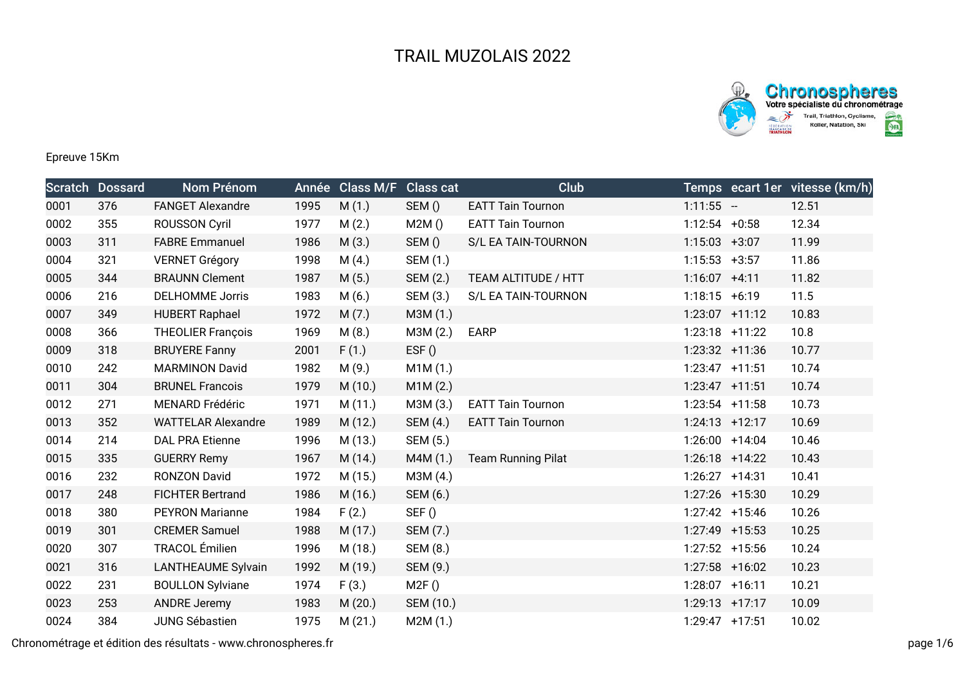



Epreuve 15Km

|      | <b>Scratch Dossard</b> | Nom Prénom                | Année | <b>Class M/F</b> | <b>Class cat</b> | Club                      |                   |                  | Temps ecart 1er vitesse (km/h) |
|------|------------------------|---------------------------|-------|------------------|------------------|---------------------------|-------------------|------------------|--------------------------------|
| 0001 | 376                    | <b>FANGET Alexandre</b>   | 1995  | M(1.)            | SEM()            | <b>EATT Tain Tournon</b>  | $1:11:55 -$       |                  | 12.51                          |
| 0002 | 355                    | <b>ROUSSON Cyril</b>      | 1977  | M(2.)            | M2M()            | <b>EATT Tain Tournon</b>  | $1:12:54 +0:58$   |                  | 12.34                          |
| 0003 | 311                    | <b>FABRE Emmanuel</b>     | 1986  | M(3.)            | SEM()            | S/L EA TAIN-TOURNON       | $1:15:03 +3:07$   |                  | 11.99                          |
| 0004 | 321                    | <b>VERNET Grégory</b>     | 1998  | M(4.)            | SEM (1.)         |                           | $1:15:53 +3:57$   |                  | 11.86                          |
| 0005 | 344                    | <b>BRAUNN Clement</b>     | 1987  | M(5.)            | SEM (2.)         | TEAM ALTITUDE / HTT       | $1:16:07$ +4:11   |                  | 11.82                          |
| 0006 | 216                    | <b>DELHOMME Jorris</b>    | 1983  | M(6.)            | SEM (3.)         | S/L EA TAIN-TOURNON       | $1:18:15 + 6:19$  |                  | 11.5                           |
| 0007 | 349                    | <b>HUBERT Raphael</b>     | 1972  | M(7.)            | M3M (1.)         |                           | 1:23:07 +11:12    |                  | 10.83                          |
| 0008 | 366                    | <b>THEOLIER François</b>  | 1969  | M(8.)            | M3M (2.)         | <b>EARP</b>               |                   | 1:23:18 +11:22   | 10.8                           |
| 0009 | 318                    | <b>BRUYERE Fanny</b>      | 2001  | F(1.)            | EST()            |                           |                   | 1:23:32 +11:36   | 10.77                          |
| 0010 | 242                    | <b>MARMINON David</b>     | 1982  | M(9.)            | M1M(1.)          |                           | $1:23:47$ +11:51  |                  | 10.74                          |
| 0011 | 304                    | <b>BRUNEL Francois</b>    | 1979  | M(10.)           | M1M(2.)          |                           | $1:23:47$ +11:51  |                  | 10.74                          |
| 0012 | 271                    | <b>MENARD Frédéric</b>    | 1971  | M(11.)           | M3M (3.)         | <b>EATT Tain Tournon</b>  | $1:23:54$ +11:58  |                  | 10.73                          |
| 0013 | 352                    | <b>WATTELAR Alexandre</b> | 1989  | M (12.)          | SEM (4.)         | <b>EATT Tain Tournon</b>  | $1:24:13 + 12:17$ |                  | 10.69                          |
| 0014 | 214                    | <b>DAL PRA Etienne</b>    | 1996  | M (13.)          | SEM (5.)         |                           | 1:26:00 +14:04    |                  | 10.46                          |
| 0015 | 335                    | <b>GUERRY Remy</b>        | 1967  | M (14.)          | M4M (1.)         | <b>Team Running Pilat</b> |                   | $1:26:18$ +14:22 | 10.43                          |
| 0016 | 232                    | RONZON David              | 1972  | M (15.)          | M3M (4.)         |                           | $1:26:27$ +14:31  |                  | 10.41                          |
| 0017 | 248                    | <b>FICHTER Bertrand</b>   | 1986  | M (16.)          | SEM (6.)         |                           |                   | 1:27:26 +15:30   | 10.29                          |
| 0018 | 380                    | <b>PEYRON Marianne</b>    | 1984  | F(2.)            | SEF()            |                           | $1:27:42$ +15:46  |                  | 10.26                          |
| 0019 | 301                    | <b>CREMER Samuel</b>      | 1988  | M (17.)          | SEM (7.)         |                           | 1:27:49 +15:53    |                  | 10.25                          |
| 0020 | 307                    | TRACOL Émilien            | 1996  | M (18.)          | SEM (8.)         |                           | $1:27:52$ +15:56  |                  | 10.24                          |
| 0021 | 316                    | <b>LANTHEAUME Sylvain</b> | 1992  | M (19.)          | SEM (9.)         |                           | 1:27:58 +16:02    |                  | 10.23                          |
| 0022 | 231                    | <b>BOULLON Sylviane</b>   | 1974  | F(3.)            | M2F()            |                           | 1:28:07 +16:11    |                  | 10.21                          |
| 0023 | 253                    | <b>ANDRE Jeremy</b>       | 1983  | M(20.)           | SEM (10.)        |                           | $1:29:13$ +17:17  |                  | 10.09                          |
| 0024 | 384                    | <b>JUNG Sébastien</b>     | 1975  | M(21.)           | M2M(1.)          |                           | 1:29:47 +17:51    |                  | 10.02                          |

Chronométrage et édition des résultats - www.chronospheres.fr page 1/6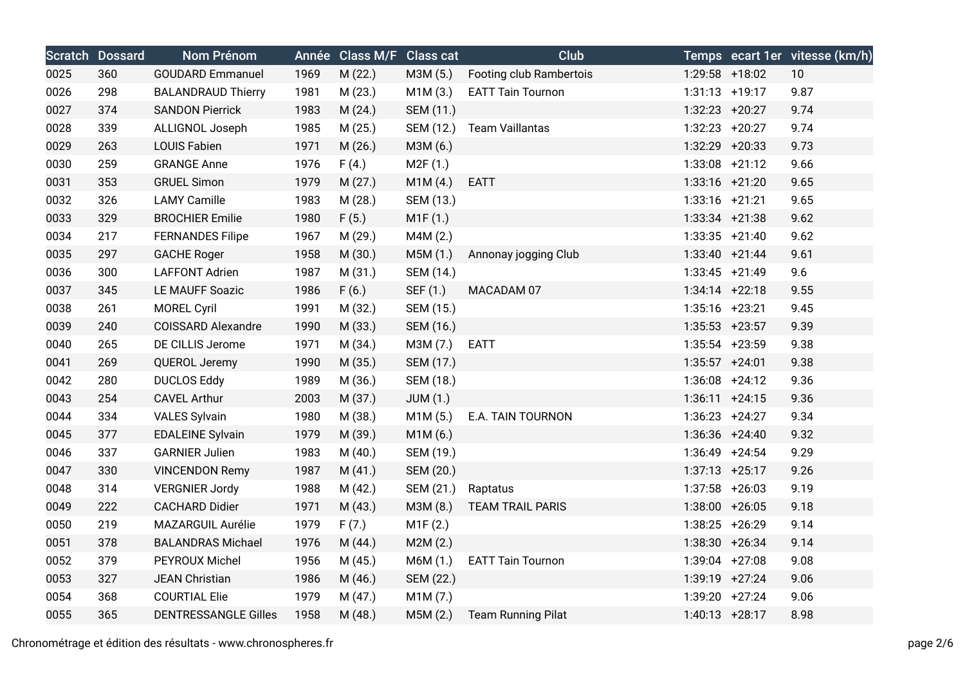|      | <b>Scratch Dossard</b> | Nom Prénom                  |      | Année Class M/F Class cat |           | <b>Club</b>               |                   | Temps ecart 1er vitesse (km/h) |
|------|------------------------|-----------------------------|------|---------------------------|-----------|---------------------------|-------------------|--------------------------------|
| 0025 | 360                    | <b>GOUDARD Emmanuel</b>     | 1969 | M(22.)                    | M3M (5.)  | Footing club Rambertois   | 1:29:58 +18:02    | 10                             |
| 0026 | 298                    | <b>BALANDRAUD Thierry</b>   | 1981 | M(23.)                    | M1M(3.)   | <b>EATT Tain Tournon</b>  | $1:31:13 + 19:17$ | 9.87                           |
| 0027 | 374                    | <b>SANDON Pierrick</b>      | 1983 | M(24.)                    | SEM (11.) |                           | 1:32:23 +20:27    | 9.74                           |
| 0028 | 339                    | ALLIGNOL Joseph             | 1985 | M(25.)                    | SEM (12.) | <b>Team Vaillantas</b>    | 1:32:23 +20:27    | 9.74                           |
| 0029 | 263                    | LOUIS Fabien                | 1971 | M(26.)                    | M3M (6.)  |                           | 1:32:29 +20:33    | 9.73                           |
| 0030 | 259                    | <b>GRANGE Anne</b>          | 1976 | F(4.)                     | M2F(1.)   |                           | $1:33:08$ +21:12  | 9.66                           |
| 0031 | 353                    | <b>GRUEL Simon</b>          | 1979 | M(27.)                    | M1M(4.)   | <b>EATT</b>               | 1:33:16 +21:20    | 9.65                           |
| 0032 | 326                    | <b>LAMY Camille</b>         | 1983 | M(28.)                    | SEM (13.) |                           | 1:33:16 +21:21    | 9.65                           |
| 0033 | 329                    | <b>BROCHIER Emilie</b>      | 1980 | F(5.)                     | M1F(1.)   |                           | $1:33:34$ +21:38  | 9.62                           |
| 0034 | 217                    | <b>FERNANDES Filipe</b>     | 1967 | M (29.)                   | M4M (2.)  |                           | $1:33:35 +21:40$  | 9.62                           |
| 0035 | 297                    | <b>GACHE Roger</b>          | 1958 | M (30.)                   | M5M (1.)  | Annonay jogging Club      | $1:33:40 +21:44$  | 9.61                           |
| 0036 | 300                    | <b>LAFFONT Adrien</b>       | 1987 | M(31.)                    | SEM (14.) |                           | $1:33:45$ +21:49  | 9.6                            |
| 0037 | 345                    | LE MAUFF Soazic             | 1986 | F(6.)                     | SEF (1.)  | MACADAM 07                | $1:34:14$ +22:18  | 9.55                           |
| 0038 | 261                    | <b>MOREL Cyril</b>          | 1991 | M (32.)                   | SEM (15.) |                           | 1:35:16 +23:21    | 9.45                           |
| 0039 | 240                    | <b>COISSARD Alexandre</b>   | 1990 | M (33.)                   | SEM (16.) |                           | $1:35:53$ +23:57  | 9.39                           |
| 0040 | 265                    | DE CILLIS Jerome            | 1971 | M (34.)                   | M3M (7.)  | <b>EATT</b>               | 1:35:54 +23:59    | 9.38                           |
| 0041 | 269                    | QUEROL Jeremy               | 1990 | M(35.)                    | SEM (17.) |                           | $1:35:57 + 24:01$ | 9.38                           |
| 0042 | 280                    | <b>DUCLOS Eddy</b>          | 1989 | M (36.)                   | SEM (18.) |                           | $1:36:08$ +24:12  | 9.36                           |
| 0043 | 254                    | <b>CAVEL Arthur</b>         | 2003 | M (37.)                   | JUM(1.)   |                           | $1:36:11 + 24:15$ | 9.36                           |
| 0044 | 334                    | <b>VALES Sylvain</b>        | 1980 | M (38.)                   | M1M(5.)   | E.A. TAIN TOURNON         | $1:36:23 +24:27$  | 9.34                           |
| 0045 | 377                    | <b>EDALEINE Sylvain</b>     | 1979 | M (39.)                   | M1M (6.)  |                           | 1:36:36 +24:40    | 9.32                           |
| 0046 | 337                    | <b>GARNIER Julien</b>       | 1983 | M(40.)                    | SEM (19.) |                           | 1:36:49 +24:54    | 9.29                           |
| 0047 | 330                    | <b>VINCENDON Remy</b>       | 1987 | M(41.)                    | SEM (20.) |                           | $1:37:13 + 25:17$ | 9.26                           |
| 0048 | 314                    | <b>VERGNIER Jordy</b>       | 1988 | M (42.)                   | SEM (21.) | Raptatus                  | $1:37:58$ +26:03  | 9.19                           |
| 0049 | 222                    | <b>CACHARD Didier</b>       | 1971 | M(43.)                    | M3M (8.)  | <b>TEAM TRAIL PARIS</b>   | 1:38:00 +26:05    | 9.18                           |
| 0050 | 219                    | MAZARGUIL Aurélie           | 1979 | F(7.)                     | M1F(2.)   |                           | $1:38:25$ +26:29  | 9.14                           |
| 0051 | 378                    | <b>BALANDRAS Michael</b>    | 1976 | M(44.)                    | M2M(2.)   |                           | 1:38:30 +26:34    | 9.14                           |
| 0052 | 379                    | PEYROUX Michel              | 1956 | M (45.)                   | M6M (1.)  | <b>EATT Tain Tournon</b>  | 1:39:04 +27:08    | 9.08                           |
| 0053 | 327                    | <b>JEAN Christian</b>       | 1986 | M (46.)                   | SEM (22.) |                           | 1:39:19 +27:24    | 9.06                           |
| 0054 | 368                    | <b>COURTIAL Elie</b>        | 1979 | M (47.)                   | M1M(7.)   |                           | 1:39:20 +27:24    | 9.06                           |
| 0055 | 365                    | <b>DENTRESSANGLE Gilles</b> | 1958 | M(48.)                    | M5M(2.)   | <b>Team Running Pilat</b> | $1:40:13 + 28:17$ | 8.98                           |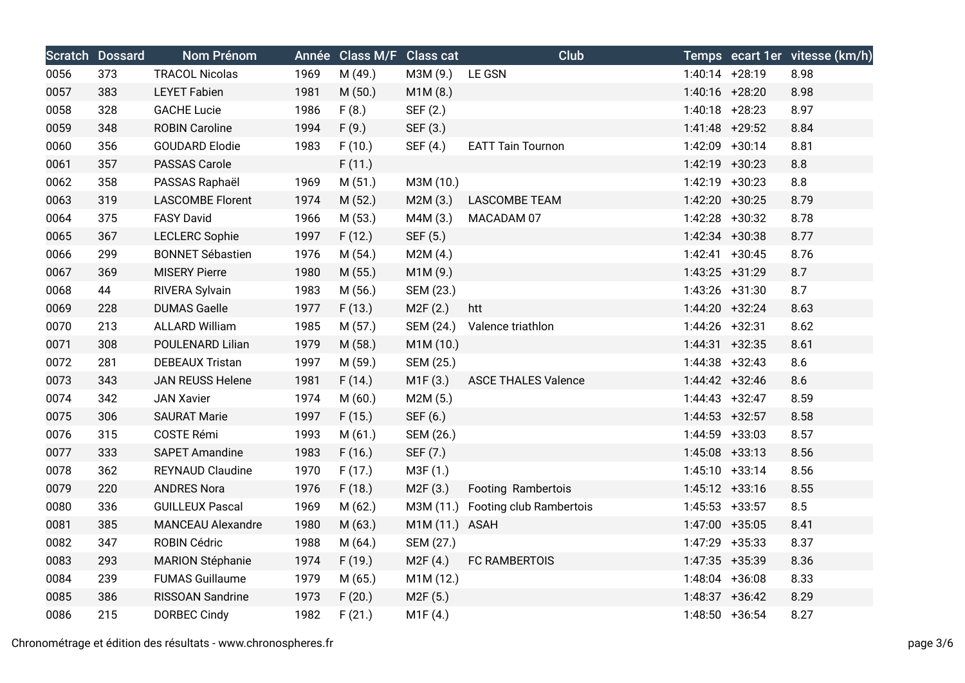|      | <b>Scratch Dossard</b> | <b>Nom Prénom</b>        |      | Année Class M/F Class cat |                | Club                              |                  | Temps ecart 1er vitesse (km/h) |
|------|------------------------|--------------------------|------|---------------------------|----------------|-----------------------------------|------------------|--------------------------------|
| 0056 | 373                    | <b>TRACOL Nicolas</b>    | 1969 | M (49.)                   | M3M (9.)       | LE GSN                            | $1:40:14$ +28:19 | 8.98                           |
| 0057 | 383                    | <b>LEYET Fabien</b>      | 1981 | M(50.)                    | M1M (8.)       |                                   | 1:40:16 +28:20   | 8.98                           |
| 0058 | 328                    | <b>GACHE Lucie</b>       | 1986 | F(8.)                     | SEF (2.)       |                                   | $1:40:18$ +28:23 | 8.97                           |
| 0059 | 348                    | <b>ROBIN Caroline</b>    | 1994 | F(9.)                     | SEF (3.)       |                                   | 1:41:48 +29:52   | 8.84                           |
| 0060 | 356                    | <b>GOUDARD Elodie</b>    | 1983 | F(10.)                    | SEF (4.)       | <b>EATT Tain Tournon</b>          | 1:42:09 +30:14   | 8.81                           |
| 0061 | 357                    | PASSAS Carole            |      | F(11.)                    |                |                                   | 1:42:19 +30:23   | 8.8                            |
| 0062 | 358                    | PASSAS Raphaël           | 1969 | M(51.)                    | M3M (10.)      |                                   | 1:42:19 +30:23   | 8.8                            |
| 0063 | 319                    | <b>LASCOMBE Florent</b>  | 1974 | M(52.)                    | M2M(3.)        | <b>LASCOMBE TEAM</b>              | 1:42:20 +30:25   | 8.79                           |
| 0064 | 375                    | <b>FASY David</b>        | 1966 | M(53.)                    | M4M (3.)       | MACADAM 07                        | 1:42:28 +30:32   | 8.78                           |
| 0065 | 367                    | <b>LECLERC Sophie</b>    | 1997 | F(12.)                    | SEF (5.)       |                                   | 1:42:34 +30:38   | 8.77                           |
| 0066 | 299                    | <b>BONNET Sébastien</b>  | 1976 | M (54.)                   | M2M(4.)        |                                   | $1:42:41 +30:45$ | 8.76                           |
| 0067 | 369                    | <b>MISERY Pierre</b>     | 1980 | M(55.)                    | M1M (9.)       |                                   | 1:43:25 +31:29   | 8.7                            |
| 0068 | 44                     | RIVERA Sylvain           | 1983 | M (56.)                   | SEM (23.)      |                                   | 1:43:26 +31:30   | 8.7                            |
| 0069 | 228                    | <b>DUMAS Gaelle</b>      | 1977 | F(13.)                    | M2F(2.)        | htt                               | 1:44:20 +32:24   | 8.63                           |
| 0070 | 213                    | <b>ALLARD William</b>    | 1985 | M(57.)                    | SEM (24.)      | Valence triathlon                 | 1:44:26 +32:31   | 8.62                           |
| 0071 | 308                    | POULENARD Lilian         | 1979 | M (58.)                   | M1M (10.)      |                                   | $1:44:31$ +32:35 | 8.61                           |
| 0072 | 281                    | <b>DEBEAUX Tristan</b>   | 1997 | M (59.)                   | SEM (25.)      |                                   | $1:44:38$ +32:43 | 8.6                            |
| 0073 | 343                    | <b>JAN REUSS Helene</b>  | 1981 | F(14.)                    | M1F(3.)        | <b>ASCE THALES Valence</b>        | 1:44:42 +32:46   | 8.6                            |
| 0074 | 342                    | <b>JAN Xavier</b>        | 1974 | M(60.)                    | M2M (5.)       |                                   | $1:44:43 +32:47$ | 8.59                           |
| 0075 | 306                    | <b>SAURAT Marie</b>      | 1997 | F(15.)                    | SEF (6.)       |                                   | $1:44:53 +32:57$ | 8.58                           |
| 0076 | 315                    | <b>COSTE Rémi</b>        | 1993 | M(61.)                    | SEM (26.)      |                                   | 1:44:59 +33:03   | 8.57                           |
| 0077 | 333                    | <b>SAPET Amandine</b>    | 1983 | F(16.)                    | SEF (7.)       |                                   | $1:45:08$ +33:13 | 8.56                           |
| 0078 | 362                    | <b>REYNAUD Claudine</b>  | 1970 | F(17.)                    | M3F (1.)       |                                   | $1:45:10 +33:14$ | 8.56                           |
| 0079 | 220                    | <b>ANDRES Nora</b>       | 1976 | F(18.)                    | M2F (3.)       | Footing Rambertois                | $1:45:12 +33:16$ | 8.55                           |
| 0080 | 336                    | <b>GUILLEUX Pascal</b>   | 1969 | M(62.)                    |                | M3M (11.) Footing club Rambertois | $1:45:53$ +33:57 | 8.5                            |
| 0081 | 385                    | <b>MANCEAU Alexandre</b> | 1980 | M(63.)                    | M1M (11.) ASAH |                                   | 1:47:00 +35:05   | 8.41                           |
| 0082 | 347                    | <b>ROBIN Cédric</b>      | 1988 | M(64.)                    | SEM (27.)      |                                   | 1:47:29 +35:33   | 8.37                           |
| 0083 | 293                    | <b>MARION Stéphanie</b>  | 1974 | F(19.)                    | M2F(4.)        | FC RAMBERTOIS                     | 1:47:35 +35:39   | 8.36                           |
| 0084 | 239                    | <b>FUMAS Guillaume</b>   | 1979 | M(65.)                    | M1M (12.)      |                                   | 1:48:04 +36:08   | 8.33                           |
| 0085 | 386                    | RISSOAN Sandrine         | 1973 | F(20.)                    | M2F(5.)        |                                   | 1:48:37 +36:42   | 8.29                           |
| 0086 | 215                    | <b>DORBEC Cindy</b>      | 1982 | F(21.)                    | M1F(4.)        |                                   | 1:48:50 +36:54   | 8.27                           |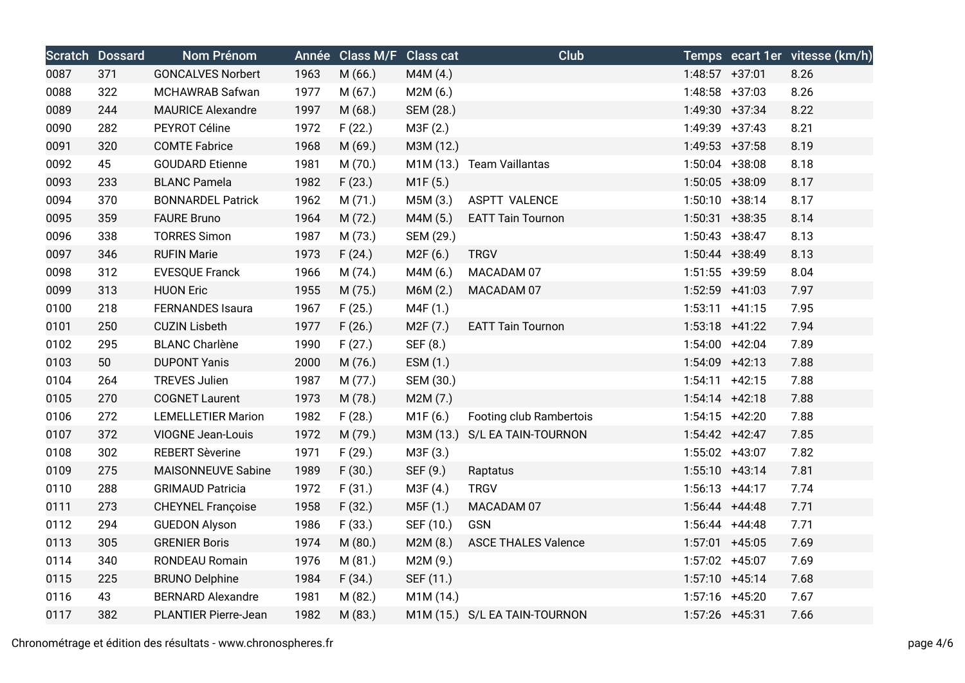|      | <b>Scratch Dossard</b> | Nom Prénom                  |      | Année Class M/F Class cat |                       | Club                          |                   | Temps ecart 1er vitesse (km/h) |
|------|------------------------|-----------------------------|------|---------------------------|-----------------------|-------------------------------|-------------------|--------------------------------|
| 0087 | 371                    | <b>GONCALVES Norbert</b>    | 1963 | M (66.)                   | M4M (4.)              |                               | $1:48:57$ +37:01  | 8.26                           |
| 0088 | 322                    | MCHAWRAB Safwan             | 1977 | M(67.)                    | M2M(6.)               |                               | $1:48:58$ +37:03  | 8.26                           |
| 0089 | 244                    | <b>MAURICE Alexandre</b>    | 1997 | M(68.)                    | SEM (28.)             |                               | 1:49:30 +37:34    | 8.22                           |
| 0090 | 282                    | PEYROT Céline               | 1972 | F(22.)                    | M3F (2.)              |                               | 1:49:39 +37:43    | 8.21                           |
| 0091 | 320                    | <b>COMTE Fabrice</b>        | 1968 | M (69.)                   | M3M (12.)             |                               | $1:49:53$ +37:58  | 8.19                           |
| 0092 | 45                     | <b>GOUDARD Etienne</b>      | 1981 | M (70.)                   |                       | M1M (13.) Team Vaillantas     | $1:50:04$ +38:08  | 8.18                           |
| 0093 | 233                    | <b>BLANC Pamela</b>         | 1982 | F(23.)                    | M1F (5.)              |                               | 1:50:05 +38:09    | 8.17                           |
| 0094 | 370                    | <b>BONNARDEL Patrick</b>    | 1962 | M(71.)                    | M5M (3.)              | ASPTT VALENCE                 | $1:50:10 + 38:14$ | 8.17                           |
| 0095 | 359                    | <b>FAURE Bruno</b>          | 1964 | M(72.)                    | M4M (5.)              | <b>EATT Tain Tournon</b>      | $1:50:31$ +38:35  | 8.14                           |
| 0096 | 338                    | <b>TORRES Simon</b>         | 1987 | M (73.)                   | SEM (29.)             |                               | $1:50:43 +38:47$  | 8.13                           |
| 0097 | 346                    | <b>RUFIN Marie</b>          | 1973 | F(24.)                    | M2F (6.)              | <b>TRGV</b>                   | 1:50:44 +38:49    | 8.13                           |
| 0098 | 312                    | <b>EVESQUE Franck</b>       | 1966 | M (74.)                   | M4M (6.)              | MACADAM 07                    | $1:51:55$ +39:59  | 8.04                           |
| 0099 | 313                    | <b>HUON Eric</b>            | 1955 | M (75.)                   | M6M (2.)              | MACADAM 07                    | 1:52:59 +41:03    | 7.97                           |
| 0100 | 218                    | FERNANDES Isaura            | 1967 | F(25.)                    | M4F (1.)              |                               | $1:53:11 +41:15$  | 7.95                           |
| 0101 | 250                    | <b>CUZIN Lisbeth</b>        | 1977 | F(26.)                    | M <sub>2</sub> F (7.) | <b>EATT Tain Tournon</b>      | $1:53:18$ +41:22  | 7.94                           |
| 0102 | 295                    | <b>BLANC Charlène</b>       | 1990 | F(27.)                    | SEF (8.)              |                               | 1:54:00 +42:04    | 7.89                           |
| 0103 | 50                     | <b>DUPONT Yanis</b>         | 2000 | M (76.)                   | ESM (1.)              |                               | 1:54:09 +42:13    | 7.88                           |
| 0104 | 264                    | <b>TREVES Julien</b>        | 1987 | M (77.)                   | SEM (30.)             |                               | $1:54:11 +42:15$  | 7.88                           |
| 0105 | 270                    | <b>COGNET Laurent</b>       | 1973 | M (78.)                   | M2M(7.)               |                               | $1:54:14$ +42:18  | 7.88                           |
| 0106 | 272                    | <b>LEMELLETIER Marion</b>   | 1982 | F(28.)                    | M1F (6.)              | Footing club Rambertois       | $1:54:15$ +42:20  | 7.88                           |
| 0107 | 372                    | <b>VIOGNE Jean-Louis</b>    | 1972 | M (79.)                   |                       | M3M (13.) S/L EA TAIN-TOURNON | $1:54:42 +42:47$  | 7.85                           |
| 0108 | 302                    | <b>REBERT Sèverine</b>      | 1971 | F(29.)                    | M3F (3.)              |                               | 1:55:02 +43:07    | 7.82                           |
| 0109 | 275                    | <b>MAISONNEUVE Sabine</b>   | 1989 | F(30.)                    | SEF (9.)              | Raptatus                      | $1:55:10 +43:14$  | 7.81                           |
| 0110 | 288                    | <b>GRIMAUD Patricia</b>     | 1972 | F(31.)                    | M3F (4.)              | <b>TRGV</b>                   | $1:56:13 +44:17$  | 7.74                           |
| 0111 | 273                    | <b>CHEYNEL Françoise</b>    | 1958 | F(32.)                    | M5F (1.)              | MACADAM 07                    | $1:56:44$ +44:48  | 7.71                           |
| 0112 | 294                    | <b>GUEDON Alyson</b>        | 1986 | F(33.)                    | SEF (10.)             | GSN                           | $1:56:44$ +44:48  | 7.71                           |
| 0113 | 305                    | <b>GRENIER Boris</b>        | 1974 | M(80.)                    | M2M(8.)               | <b>ASCE THALES Valence</b>    | $1:57:01$ +45:05  | 7.69                           |
| 0114 | 340                    | RONDEAU Romain              | 1976 | M (81.)                   | M2M (9.)              |                               | 1:57:02 +45:07    | 7.69                           |
| 0115 | 225                    | <b>BRUNO Delphine</b>       | 1984 | F(34.)                    | SEF (11.)             |                               | $1:57:10 + 45:14$ | 7.68                           |
| 0116 | 43                     | <b>BERNARD Alexandre</b>    | 1981 | M (82.)                   | M1M (14.)             |                               | $1:57:16$ +45:20  | 7.67                           |
| 0117 | 382                    | <b>PLANTIER Pierre-Jean</b> | 1982 | M (83.)                   |                       | M1M (15.) S/L EA TAIN-TOURNON | $1:57:26$ +45:31  | 7.66                           |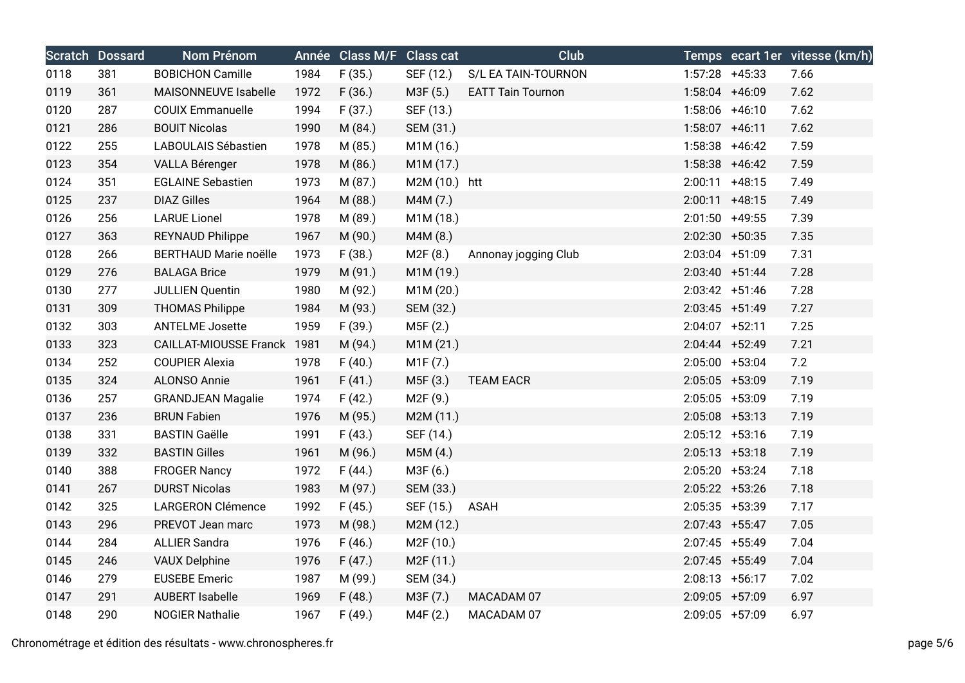|      | <b>Scratch Dossard</b> | Nom Prénom                   |      | Année Class M/F Class cat |                        | Club                     |                  |                   | Temps ecart 1er vitesse (km/h) |
|------|------------------------|------------------------------|------|---------------------------|------------------------|--------------------------|------------------|-------------------|--------------------------------|
| 0118 | 381                    | <b>BOBICHON Camille</b>      | 1984 | F(35.)                    | SEF (12.)              | S/L EA TAIN-TOURNON      |                  | $1:57:28$ +45:33  | 7.66                           |
| 0119 | 361                    | MAISONNEUVE Isabelle         | 1972 | F(36.)                    | M3F (5.)               | <b>EATT Tain Tournon</b> | 1:58:04 +46:09   |                   | 7.62                           |
| 0120 | 287                    | <b>COUIX Emmanuelle</b>      | 1994 | F(37.)                    | SEF (13.)              |                          |                  | $1:58:06$ +46:10  | 7.62                           |
| 0121 | 286                    | <b>BOUIT Nicolas</b>         | 1990 | M (84.)                   | SEM (31.)              |                          | $1:58:07$ +46:11 |                   | 7.62                           |
| 0122 | 255                    | LABOULAIS Sébastien          | 1978 | M (85.)                   | M1M (16.)              |                          |                  | $1:58:38$ +46:42  | 7.59                           |
| 0123 | 354                    | VALLA Bérenger               | 1978 | M (86.)                   | M1M (17.)              |                          |                  | $1:58:38$ +46:42  | 7.59                           |
| 0124 | 351                    | <b>EGLAINE Sebastien</b>     | 1973 | M (87.)                   | M2M (10.) htt          |                          |                  | $2:00:11$ +48:15  | 7.49                           |
| 0125 | 237                    | <b>DIAZ Gilles</b>           | 1964 | M (88.)                   | M4M (7.)               |                          |                  | $2:00:11$ +48:15  | 7.49                           |
| 0126 | 256                    | <b>LARUE Lionel</b>          | 1978 | M (89.)                   | M1M (18.)              |                          |                  | $2:01:50$ +49:55  | 7.39                           |
| 0127 | 363                    | <b>REYNAUD Philippe</b>      | 1967 | M (90.)                   | M4M (8.)               |                          |                  | $2:02:30$ +50:35  | 7.35                           |
| 0128 | 266                    | <b>BERTHAUD Marie noëlle</b> | 1973 | F(38.)                    | M2F (8.)               | Annonay jogging Club     | 2:03:04 +51:09   |                   | 7.31                           |
| 0129 | 276                    | <b>BALAGA Brice</b>          | 1979 | M (91.)                   | M1M (19.)              |                          |                  | $2:03:40 +51:44$  | 7.28                           |
| 0130 | 277                    | <b>JULLIEN Quentin</b>       | 1980 | M (92.)                   | M1M (20.)              |                          |                  | $2:03:42 +51:46$  | 7.28                           |
| 0131 | 309                    | <b>THOMAS Philippe</b>       | 1984 | M (93.)                   | SEM (32.)              |                          | $2:03:45$ +51:49 |                   | 7.27                           |
| 0132 | 303                    | <b>ANTELME Josette</b>       | 1959 | F(39.)                    | M5F (2.)               |                          | $2:04:07$ +52:11 |                   | 7.25                           |
| 0133 | 323                    | CAILLAT-MIOUSSE Franck 1981  |      | M (94.)                   | M1M (21.)              |                          |                  | $2:04:44$ +52:49  | 7.21                           |
| 0134 | 252                    | <b>COUPIER Alexia</b>        | 1978 | F(40.)                    | M1F (7.)               |                          | 2:05:00 +53:04   |                   | 7.2                            |
| 0135 | 324                    | ALONSO Annie                 | 1961 | F(41.)                    | M5F (3.)               | <b>TEAM EACR</b>         | 2:05:05 +53:09   |                   | 7.19                           |
| 0136 | 257                    | <b>GRANDJEAN Magalie</b>     | 1974 | F(42.)                    | M2F (9.)               |                          |                  | 2:05:05 +53:09    | 7.19                           |
| 0137 | 236                    | <b>BRUN Fabien</b>           | 1976 | M (95.)                   | M2M (11.)              |                          |                  | $2:05:08$ +53:13  | 7.19                           |
| 0138 | 331                    | <b>BASTIN Gaëlle</b>         | 1991 | F(43.)                    | SEF (14.)              |                          |                  | $2:05:12$ +53:16  | 7.19                           |
| 0139 | 332                    | <b>BASTIN Gilles</b>         | 1961 | M (96.)                   | M5M(4.)                |                          | $2:05:13 +53:18$ |                   | 7.19                           |
| 0140 | 388                    | <b>FROGER Nancy</b>          | 1972 | F(44.)                    | M3F (6.)               |                          | 2:05:20 +53:24   |                   | 7.18                           |
| 0141 | 267                    | <b>DURST Nicolas</b>         | 1983 | M (97.)                   | SEM (33.)              |                          |                  | $2:05:22$ +53:26  | 7.18                           |
| 0142 | 325                    | <b>LARGERON Clémence</b>     | 1992 | F(45.)                    | SEF (15.) ASAH         |                          |                  | 2:05:35 +53:39    | 7.17                           |
| 0143 | 296                    | PREVOT Jean marc             | 1973 | M (98.)                   | M2M (12.)              |                          |                  | $2:07:43$ +55:47  | 7.05                           |
| 0144 | 284                    | <b>ALLIER Sandra</b>         | 1976 | F(46.)                    | M2F (10.)              |                          |                  | $2:07:45$ +55:49  | 7.04                           |
| 0145 | 246                    | <b>VAUX Delphine</b>         | 1976 | F(47.)                    | M <sub>2</sub> F (11.) |                          | 2:07:45 +55:49   |                   | 7.04                           |
| 0146 | 279                    | <b>EUSEBE Emeric</b>         | 1987 | M (99.)                   | SEM (34.)              |                          |                  | $2:08:13 + 56:17$ | 7.02                           |
| 0147 | 291                    | <b>AUBERT Isabelle</b>       | 1969 | F(48.)                    | M3F (7.)               | MACADAM 07               |                  | 2:09:05 +57:09    | 6.97                           |
| 0148 | 290                    | <b>NOGIER Nathalie</b>       | 1967 | F(49.)                    | M4F (2.)               | MACADAM 07               | 2:09:05 +57:09   |                   | 6.97                           |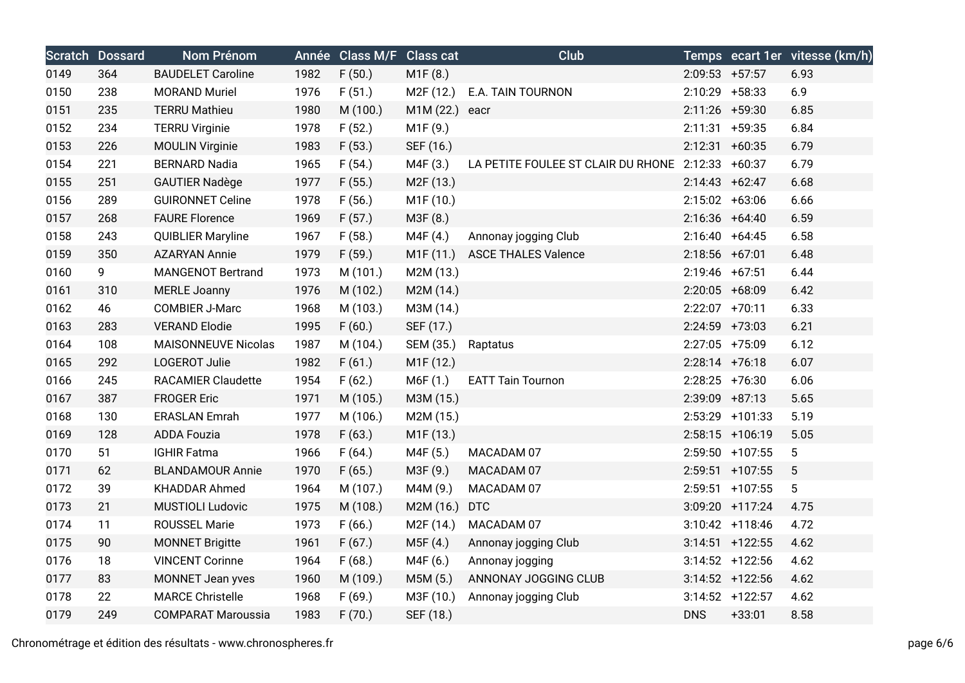|      | <b>Scratch Dossard</b> | Nom Prénom                 | Année | <b>Class M/F</b> Class cat |                        | Club                                              |                   |                    | Temps ecart 1er vitesse (km/h) |
|------|------------------------|----------------------------|-------|----------------------------|------------------------|---------------------------------------------------|-------------------|--------------------|--------------------------------|
| 0149 | 364                    | <b>BAUDELET Caroline</b>   | 1982  | F(50.)                     | M1F (8.)               |                                                   | $2:09:53$ +57:57  |                    | 6.93                           |
| 0150 | 238                    | <b>MORAND Muriel</b>       | 1976  | F(51.)                     | M <sub>2</sub> F (12.) | E.A. TAIN TOURNON                                 | 2:10:29 +58:33    |                    | 6.9                            |
| 0151 | 235                    | <b>TERRU Mathieu</b>       | 1980  | M (100.)                   | M1M (22.) eacr         |                                                   | 2:11:26 +59:30    |                    | 6.85                           |
| 0152 | 234                    | <b>TERRU Virginie</b>      | 1978  | F(52.)                     | M1F (9.)               |                                                   | $2:11:31 + 59:35$ |                    | 6.84                           |
| 0153 | 226                    | <b>MOULIN Virginie</b>     | 1983  | F(53.)                     | SEF (16.)              |                                                   | $2:12:31 + 60:35$ |                    | 6.79                           |
| 0154 | 221                    | <b>BERNARD Nadia</b>       | 1965  | F(54.)                     | M4F (3.)               | LA PETITE FOULEE ST CLAIR DU RHONE 2:12:33 +60:37 |                   |                    | 6.79                           |
| 0155 | 251                    | <b>GAUTIER Nadège</b>      | 1977  | F(55.)                     | M <sub>2</sub> F (13.) |                                                   | $2:14:43 +62:47$  |                    | 6.68                           |
| 0156 | 289                    | <b>GUIRONNET Celine</b>    | 1978  | F(56.)                     | M1F (10.)              |                                                   | 2:15:02 +63:06    |                    | 6.66                           |
| 0157 | 268                    | <b>FAURE Florence</b>      | 1969  | F(57.)                     | M3F (8.)               |                                                   | $2:16:36$ +64:40  |                    | 6.59                           |
| 0158 | 243                    | <b>QUIBLIER Maryline</b>   | 1967  | F(58.)                     | M4F (4.)               | Annonay jogging Club                              | $2:16:40 +64:45$  |                    | 6.58                           |
| 0159 | 350                    | <b>AZARYAN Annie</b>       | 1979  | F(59.)                     | M1F (11.)              | <b>ASCE THALES Valence</b>                        | 2:18:56 +67:01    |                    | 6.48                           |
| 0160 | 9                      | <b>MANGENOT Bertrand</b>   | 1973  | M (101.)                   | M2M (13.)              |                                                   | $2:19:46$ +67:51  |                    | 6.44                           |
| 0161 | 310                    | <b>MERLE Joanny</b>        | 1976  | M (102.)                   | M2M (14.)              |                                                   | 2:20:05 +68:09    |                    | 6.42                           |
| 0162 | 46                     | <b>COMBIER J-Marc</b>      | 1968  | M (103.)                   | M3M (14.)              |                                                   | 2:22:07 +70:11    |                    | 6.33                           |
| 0163 | 283                    | <b>VERAND Elodie</b>       | 1995  | F(60.)                     | SEF (17.)              |                                                   | 2:24:59 +73:03    |                    | 6.21                           |
| 0164 | 108                    | <b>MAISONNEUVE Nicolas</b> | 1987  | M (104.)                   | SEM (35.)              | Raptatus                                          | 2:27:05 +75:09    |                    | 6.12                           |
| 0165 | 292                    | LOGEROT Julie              | 1982  | F(61.)                     | M <sub>1</sub> F (12.) |                                                   | $2:28:14$ +76:18  |                    | 6.07                           |
| 0166 | 245                    | <b>RACAMIER Claudette</b>  | 1954  | F(62.)                     | M6F (1.)               | <b>EATT Tain Tournon</b>                          | $2:28:25$ +76:30  |                    | 6.06                           |
| 0167 | 387                    | <b>FROGER Eric</b>         | 1971  | M (105.)                   | M3M (15.)              |                                                   | $2:39:09$ +87:13  |                    | 5.65                           |
| 0168 | 130                    | <b>ERASLAN Emrah</b>       | 1977  | M (106.)                   | M2M (15.)              |                                                   |                   | 2:53:29 +101:33    | 5.19                           |
| 0169 | 128                    | <b>ADDA Fouzia</b>         | 1978  | F(63.)                     | M1F (13.)              |                                                   |                   | 2:58:15 +106:19    | 5.05                           |
| 0170 | 51                     | <b>IGHIR Fatma</b>         | 1966  | F(64.)                     | M4F (5.)               | MACADAM 07                                        |                   | 2:59:50 +107:55    | $\overline{5}$                 |
| 0171 | 62                     | <b>BLANDAMOUR Annie</b>    | 1970  | F(65.)                     | M3F (9.)               | MACADAM 07                                        |                   | $2:59:51$ +107:55  | 5                              |
| 0172 | 39                     | <b>KHADDAR Ahmed</b>       | 1964  | M (107.)                   | M4M (9.)               | MACADAM 07                                        |                   | $2:59:51$ +107:55  | 5                              |
| 0173 | 21                     | <b>MUSTIOLI Ludovic</b>    | 1975  | M (108.)                   | M2M (16.)              | <b>DTC</b>                                        |                   | 3:09:20 +117:24    | 4.75                           |
| 0174 | 11                     | ROUSSEL Marie              | 1973  | F(66.)                     | M <sub>2</sub> F (14.) | MACADAM 07                                        |                   | $3:10:42$ +118:46  | 4.72                           |
| 0175 | 90                     | <b>MONNET Brigitte</b>     | 1961  | F(67.)                     | M5F(4.)                | Annonay jogging Club                              |                   | $3:14:51$ +122:55  | 4.62                           |
| 0176 | 18                     | <b>VINCENT Corinne</b>     | 1964  | F(68.)                     | M4F (6.)               | Annonay jogging                                   |                   | $3:14:52 + 122:56$ | 4.62                           |
| 0177 | 83                     | MONNET Jean yves           | 1960  | M (109.)                   | M5M (5.)               | ANNONAY JOGGING CLUB                              |                   | $3:14:52$ +122:56  | 4.62                           |
| 0178 | 22                     | <b>MARCE Christelle</b>    | 1968  | F(69.)                     | M3F (10.)              | Annonay jogging Club                              |                   | $3:14:52$ +122:57  | 4.62                           |
| 0179 | 249                    | <b>COMPARAT Maroussia</b>  | 1983  | F(70.)                     | SEF (18.)              |                                                   | <b>DNS</b>        | $+33:01$           | 8.58                           |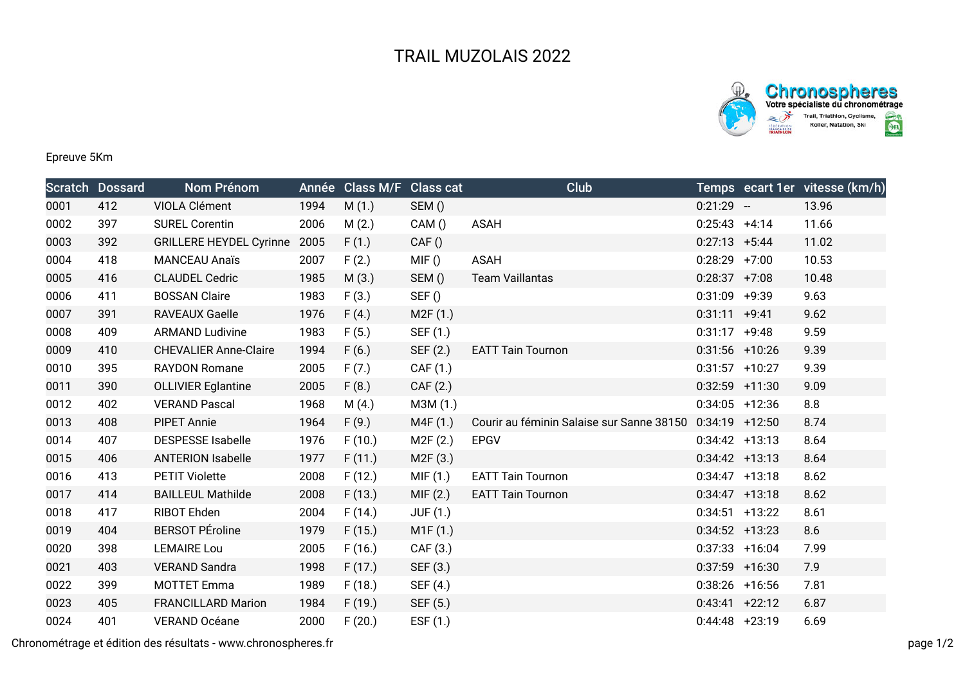



Epreuve 5Km

|      | <b>Scratch Dossard</b> | Nom Prénom                     | Année | Class M/F Class cat |                 | Club                                      |                   |         | Temps ecart 1er vitesse (km/h) |
|------|------------------------|--------------------------------|-------|---------------------|-----------------|-------------------------------------------|-------------------|---------|--------------------------------|
| 0001 | 412                    | VIOLA Clément                  | 1994  | M(1.)               | SEM()           |                                           | $0:21:29 -$       |         | 13.96                          |
| 0002 | 397                    | <b>SUREL Corentin</b>          | 2006  | M(2.)               | CAM()           | <b>ASAH</b>                               | $0:25:43 +4:14$   |         | 11.66                          |
| 0003 | 392                    | <b>GRILLERE HEYDEL Cyrinne</b> | 2005  | F(1.)               | CAF()           |                                           | $0:27:13 +5:44$   |         | 11.02                          |
| 0004 | 418                    | <b>MANCEAU Anaïs</b>           | 2007  | F(2.)               | MIF()           | <b>ASAH</b>                               | $0:28:29$ +7:00   |         | 10.53                          |
| 0005 | 416                    | <b>CLAUDEL Cedric</b>          | 1985  | M(3.)               | SEM()           | <b>Team Vaillantas</b>                    | $0:28:37$ +7:08   |         | 10.48                          |
| 0006 | 411                    | <b>BOSSAN Claire</b>           | 1983  | F(3.)               | SEF()           |                                           | $0:31:09$ +9:39   |         | 9.63                           |
| 0007 | 391                    | <b>RAVEAUX Gaelle</b>          | 1976  | F(4.)               | M2F(1.)         |                                           | $0:31:11 +9:41$   |         | 9.62                           |
| 0008 | 409                    | <b>ARMAND Ludivine</b>         | 1983  | F(5.)               | SEF (1.)        |                                           | 0:31:17           | $+9:48$ | 9.59                           |
| 0009 | 410                    | <b>CHEVALIER Anne-Claire</b>   | 1994  | F(6.)               | SEF (2.)        | <b>EATT Tain Tournon</b>                  | $0:31:56$ +10:26  |         | 9.39                           |
| 0010 | 395                    | <b>RAYDON Romane</b>           | 2005  | F(7.)               | CAF (1.)        |                                           | $0:31:57$ +10:27  |         | 9.39                           |
| 0011 | 390                    | <b>OLLIVIER Eglantine</b>      | 2005  | F(8.)               | CAF (2.)        |                                           | $0:32:59$ +11:30  |         | 9.09                           |
| 0012 | 402                    | <b>VERAND Pascal</b>           | 1968  | M(4.)               | M3M (1.)        |                                           | $0:34:05$ +12:36  |         | 8.8                            |
| 0013 | 408                    | <b>PIPET Annie</b>             | 1964  | F(9.)               | M4F (1.)        | Courir au féminin Salaise sur Sanne 38150 | $0:34:19$ +12:50  |         | 8.74                           |
| 0014 | 407                    | <b>DESPESSE Isabelle</b>       | 1976  | F(10.)              | M2F(2.)         | <b>EPGV</b>                               | $0:34:42$ +13:13  |         | 8.64                           |
| 0015 | 406                    | <b>ANTERION Isabelle</b>       | 1977  | F(11.)              | M2F (3.)        |                                           | $0:34:42$ +13:13  |         | 8.64                           |
| 0016 | 413                    | <b>PETIT Violette</b>          | 2008  | F(12.)              | MIF(1.)         | <b>EATT Tain Tournon</b>                  | $0:34:47$ +13:18  |         | 8.62                           |
| 0017 | 414                    | <b>BAILLEUL Mathilde</b>       | 2008  | F(13.)              | MIF(2.)         | <b>EATT Tain Tournon</b>                  | $0:34:47$ +13:18  |         | 8.62                           |
| 0018 | 417                    | RIBOT Ehden                    | 2004  | F(14.)              | <b>JUF (1.)</b> |                                           | $0:34:51$ +13:22  |         | 8.61                           |
| 0019 | 404                    | <b>BERSOT PÉroline</b>         | 1979  | F(15.)              | M1F(1.)         |                                           | $0:34:52$ +13:23  |         | 8.6                            |
| 0020 | 398                    | <b>LEMAIRE Lou</b>             | 2005  | F(16.)              | CAF (3.)        |                                           | $0:37:33 + 16:04$ |         | 7.99                           |
| 0021 | 403                    | <b>VERAND Sandra</b>           | 1998  | F(17.)              | SEF (3.)        |                                           | $0:37:59$ +16:30  |         | 7.9                            |
| 0022 | 399                    | <b>MOTTET Emma</b>             | 1989  | F(18.)              | SEF (4.)        |                                           | $0:38:26$ +16:56  |         | 7.81                           |
| 0023 | 405                    | <b>FRANCILLARD Marion</b>      | 1984  | F(19.)              | SEF (5.)        |                                           | $0:43:41 +22:12$  |         | 6.87                           |
| 0024 | 401                    | <b>VERAND Océane</b>           | 2000  | F(20.)              | ESF (1.)        |                                           | $0:44:48$ +23:19  |         | 6.69                           |

Chronométrage et édition des résultats - www.chronospheres.fr page 1/2